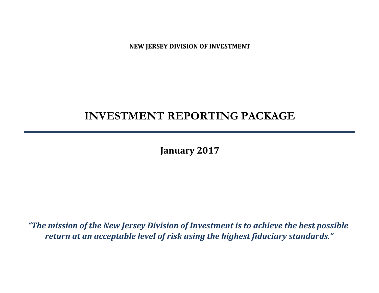**NEW JERSEY DIVISION OF INVESTMENT**

# **INVESTMENT REPORTING PACKAGE**

**January 2017**

*"The mission of the New Jersey Division of Investment is to achieve the best possible return at an acceptable level of risk using the highest fiduciary standards."*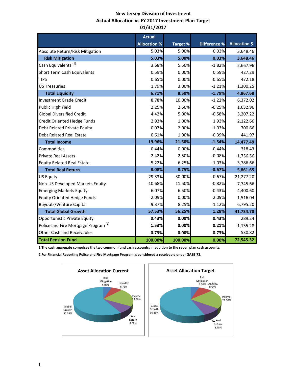### **New Jersey Division of Investment Actual Allocation vs FY 2017 Investment Plan Target 01/31/2017**

|                                                 | <b>Actual</b>       |                 |                     |                      |
|-------------------------------------------------|---------------------|-----------------|---------------------|----------------------|
|                                                 | <b>Allocation %</b> | <b>Target %</b> | <b>Difference %</b> | <b>Allocation \$</b> |
| Absolute Return/Risk Mitigation                 | 5.03%               | 5.00%           | 0.03%               | 3,648.46             |
| <b>Risk Mitigation</b>                          | 5.03%               | 5.00%           | 0.03%               | 3,648.46             |
| Cash Equivalents <sup>(1)</sup>                 | 3.68%               | 5.50%           | $-1.82%$            | 2,667.96             |
| <b>Short Term Cash Equivalents</b>              | 0.59%               | 0.00%           | 0.59%               | 427.29               |
| <b>TIPS</b>                                     | 0.65%               | 0.00%           | 0.65%               | 472.18               |
| <b>US Treasuries</b>                            | 1.79%               | 3.00%           | $-1.21%$            | 1,300.25             |
| <b>Total Liquidity</b>                          | 6.71%               | 8.50%           | $-1.79%$            | 4,867.68             |
| <b>Investment Grade Credit</b>                  | 8.78%               | 10.00%          | $-1.22%$            | 6,372.02             |
| Public High Yield                               | 2.25%               | 2.50%           | $-0.25%$            | 1,632.96             |
| <b>Global Diversified Credit</b>                | 4.42%               | 5.00%           | $-0.58%$            | 3,207.22             |
| Credit Oriented Hedge Funds                     | 2.93%               | 1.00%           | 1.93%               | 2,122.66             |
| Debt Related Private Equity                     | 0.97%               | 2.00%           | $-1.03%$            | 700.66               |
| <b>Debt Related Real Estate</b>                 | 0.61%               | 1.00%           | $-0.39%$            | 441.97               |
| <b>Total Income</b>                             | 19.96%              | 21.50%          | $-1.54%$            | 14,477.49            |
| Commodities                                     | 0.44%               | 0.00%           | 0.44%               | 318.43               |
| <b>Private Real Assets</b>                      | 2.42%               | 2.50%           | $-0.08%$            | 1,756.56             |
| <b>Equity Related Real Estate</b>               | 5.22%               | 6.25%           | $-1.03%$            | 3,786.66             |
| <b>Total Real Return</b>                        | 8.08%               | 8.75%           | $-0.67%$            | 5,861.65             |
| <b>US Equity</b>                                | 29.33%              | 30.00%          | $-0.67%$            | 21,277.20            |
| Non-US Developed Markets Equity                 | 10.68%              | 11.50%          | $-0.82%$            | 7,745.66             |
| <b>Emerging Markets Equity</b>                  | 6.07%               | 6.50%           | $-0.43%$            | 4,400.60             |
| <b>Equity Oriented Hedge Funds</b>              | 2.09%               | 0.00%           | 2.09%               | 1,516.04             |
| <b>Buyouts/Venture Capital</b>                  | 9.37%               | 8.25%           | 1.12%               | 6,795.20             |
| <b>Total Global Growth</b>                      | 57.53%              | 56.25%          | 1.28%               | 41,734.70            |
| Opportunistic Private Equity                    | 0.43%               | 0.00%           | 0.43%               | 289.24               |
| Police and Fire Mortgage Program <sup>(2)</sup> | 1.53%               | 0.00%           | 0.21%               | 1,135.28             |
| <b>Other Cash and Receivables</b>               | 0.73%               | 0.00%           | 0.73%               | 530.82               |
| <b>Total Pension Fund</b>                       | 100.00%             | 100.00%         | 0.00%               | 72,545.32            |

**1 The cash aggregate comprises the two common fund cash accounts, in addition to the seven plan cash accounts.** 

**2 For Financial Reporting Police and Fire Mortgage Program is considered a receivable under GASB 72.**

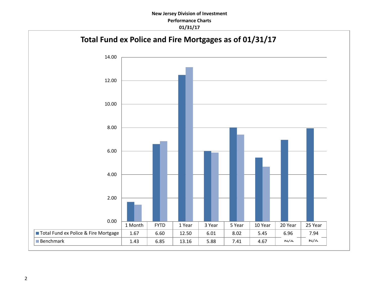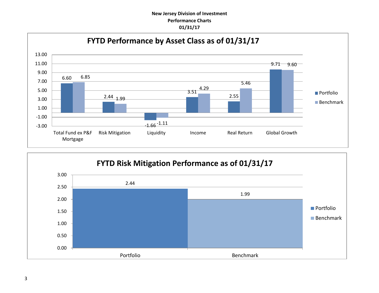### **New Jersey Division of Investment Performance Charts 01/31/17**



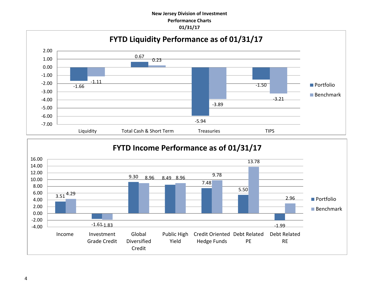### **New Jersey Division of Investment Performance Charts 01/31/17**



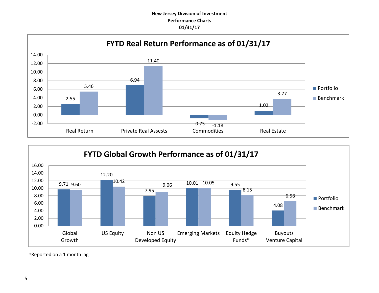### **New Jersey Division of Investment Performance Charts 01/31/17**





\*Reported on a 1 month lag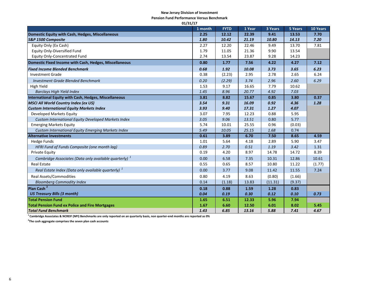#### **New Jersey Division of Investment**

**Pension Fund Performance Versus Benchmark**

| 01/31/17                                                          |         |             |        |         |         |                 |
|-------------------------------------------------------------------|---------|-------------|--------|---------|---------|-----------------|
|                                                                   | 1 month | <b>FYTD</b> | 1 Year | 3 Years | 5 Years | <b>10 Years</b> |
| Domestic Equity with Cash, Hedges, Miscellaneous                  | 2.25    | 12.12       | 22.39  | 9.41    | 13.53   | 7.70            |
| <b>S&amp;P 1500 Composite</b>                                     | 1.80    | 10.42       | 21.19  | 10.80   | 14.13   | 7.20            |
| Equity Only (Ex Cash)                                             | 2.27    | 12.20       | 22.46  | 9.49    | 13.70   | 7.81            |
| Equity Only-Diversified Fund                                      | 1.79    | 11.05       | 21.36  | 9.90    | 13.54   |                 |
| Equity Only-Concentrated Fund                                     | 2.74    | 13.54       | 23.87  | 9.28    | 14.23   |                 |
| Domestic Fixed Income with Cash, Hedges, Miscellaneous            | 0.80    | 1.77        | 7.56   | 4.22    | 4.27    | 7.12            |
| <b>Fixed Income Blended Benchmark</b>                             | 0.68    | 1.92        | 10.08  | 3.73    | 3.65    | 6.23            |
| <b>Investment Grade</b>                                           | 0.38    | (2.23)      | 2.95   | 2.78    | 2.65    | 6.24            |
| <b>Investment Grade Blended Benchmark</b>                         | 0.20    | (2.29)      | 3.74   | 2.96    | 2.60    | 6.29            |
| High Yield                                                        | 1.53    | 9.17        | 16.65  | 7.79    | 10.62   |                 |
| <b>Barclays High Yield Index</b>                                  | 1.45    | 8.96        | 20.77  | 4.92    | 7.03    |                 |
| <b>International Equity with Cash, Hedges, Miscellaneous</b>      | 3.81    | 8.82        | 15.67  | 0.85    | 3.80    | 0.37            |
| <b>MSCI All World Country Index (ex US)</b>                       | 3.54    | 9.31        | 16.09  | 0.92    | 4.36    | 1.28            |
| <b>Custom International Equity Markets Index</b>                  | 3.93    | 9.40        | 17.31  | 1.27    | 4.07    |                 |
| Developed Markets Equity                                          | 3.07    | 7.95        | 12.23  | 0.88    | 5.95    |                 |
| Custom International Equity Developed Markets Index               | 3.05    | 9.06        | 13.51  | 0.80    | 5.77    |                 |
| <b>Emerging Markets Equity</b>                                    | 5.74    | 10.01       | 25.55  | 0.96    | (0.03)  |                 |
| Custom International Equity Emerging Markets Index                | 5.49    | 10.05       | 25.15  | 1.68    | 0.74    |                 |
| <b>Alternative Investments</b>                                    | 0.61    | 3.89        | 6.70   | 7.50    | 8.65    | 4.59            |
| <b>Hedge Funds</b>                                                | 1.01    | 5.64        | 4.18   | 2.89    | 5.90    | 3.47            |
| HFRI Fund of Funds Composite (one month lag)                      | 0.89    | 2.70        | 0.51   | 1.19    | 3.42    | 1.31            |
| <b>Private Equity</b>                                             | 0.19    | 4.20        | 8.97   | 14.78   | 14.72   | 8.39            |
| Cambridge Associates (Data only available quarterly) <sup>1</sup> | 0.00    | 6.58        | 7.35   | 10.31   | 12.86   | 10.61           |
| <b>Real Estate</b>                                                | 0.55    | 0.65        | 8.57   | 10.80   | 11.22   | (1.77)          |
| Real Estate Index (Data only available quarterly) <sup>1</sup>    | 0.00    | 3.77        | 9.08   | 11.42   | 11.55   | 7.24            |
| Real Assets/Commodities                                           | 0.80    | 4.19        | 8.63   | (0.80)  | (1.66)  |                 |
| <b>Bloomberg Commodity Index</b>                                  | 0.14    | (1.18)      | 13.83  | (11.31) | (9.37)  |                 |
| Plan Cash <sup>2</sup>                                            | 0.18    | 0.88        | 1.59   | 1.28    | 0.83    |                 |
| <b>US Treasury Bills (3 month)</b>                                | 0.04    | 0.19        | 0.30   | 0.12    | 0.10    | 0.73            |
| <b>Total Pension Fund</b>                                         | 1.65    | 6.51        | 12.33  | 5.96    | 7.94    |                 |
| <b>Total Pension Fund ex Police and Fire Mortgages</b>            | 1.67    | 6.60        | 12.50  | 6.01    | 8.02    | 5.45            |
| <b>Total Fund Benchmark</b>                                       | 1.43    | 6.85        | 13.16  | 5.88    | 7.41    | 4.67            |

**<sup>1</sup>Cambridge Associates & NCREIF (NPI) Benchmarks are only reported on an quarterly basis, non quarter-end months are reported as 0%**

**2 The cash aggregate comprises the seven plan cash accounts**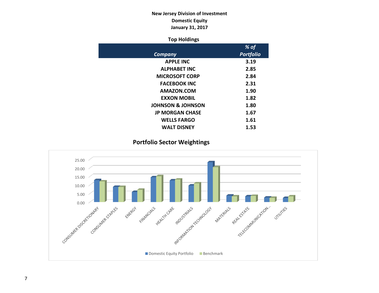### **New Jersey Division of Investment Domestic Equity January 31, 2017**

### **Top Holdings**

|                              | % of             |
|------------------------------|------------------|
| Company                      | <b>Portfolio</b> |
| <b>APPLE INC</b>             | 3.19             |
| <b>ALPHABET INC</b>          | 2.85             |
| <b>MICROSOFT CORP</b>        | 2.84             |
| <b>FACEBOOK INC</b>          | 2.31             |
| AMAZON.COM                   | 1.90             |
| <b>EXXON MOBIL</b>           | 1.82             |
| <b>JOHNSON &amp; JOHNSON</b> | 1.80             |
| <b>JP MORGAN CHASE</b>       | 1.67             |
| <b>WELLS FARGO</b>           | 1.61             |
| <b>WALT DISNEY</b>           | 1.53             |

# **Portfolio Sector Weightings**

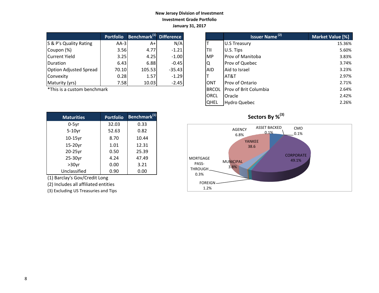### **New Jersey Division of Investment Investment Grade Portfolio January 31, 2017**

|                               | <b>Portfolio</b> | Benchmark <sup>(1)</sup> | <b>Difference</b> |
|-------------------------------|------------------|--------------------------|-------------------|
| S & P's Quality Rating        | $AA-3$           | A+                       | N/A               |
| Coupon (%)                    | 3.56             | 4.77                     | $-1.21$           |
| <b>Current Yield</b>          | 3.25             | 4.25                     | $-1.00$           |
| Duration                      | 6.43             | 6.88                     | $-0.45$           |
| <b>Option Adjusted Spread</b> | 70.10            | 105.53                   | $-35.43$          |
| Convexity                     | 0.28             | 1.57                     | $-1.29$           |
| Maturity (yrs)                | 7.58             | 10.03                    | $-2.45$           |

| <b>Maturities</b> | <b>Portfolio</b> | Benchmark <sup>(1)</sup> |
|-------------------|------------------|--------------------------|
| $0-5yr$           | 32.03            | 0.33                     |
| $5-10$ yr         | 52.63            | 0.82                     |
| 10-15yr           | 8.70             | 10.44                    |
| 15-20yr           | 1.01             | 12.31                    |
| 20-25yr           | 0.50             | 25.39                    |
| 25-30yr           | 4.24             | 47.49                    |
| $>30$ yr          | 0.00             | 3.21                     |
| Unclassified      | 0.90             | 0.00                     |

(1) Barclay's Gov/Credit Long

(2) Includes all affiliated entities

(3) Excluding US Treasuries and Tips

|                             | <b>Portfolio</b> | Benchmark <sup>(1)</sup> Difference |          |              | <b>Issuer Name<sup>(2)</sup></b> | Market Value [%] |
|-----------------------------|------------------|-------------------------------------|----------|--------------|----------------------------------|------------------|
| S & P's Quality Rating      | $AA-3$           | $A+1$                               | N/A      |              | U.S Treasury                     | 15.36%           |
| Coupon (%)                  | 3.56             | 4.77                                | $-1.21$  | TII          | U.S. Tips                        | 5.60%            |
| Current Yield               | 3.25             | 4.25                                | $-1.00$  | <b>IMP</b>   | <b>Prov of Manitoba</b>          | 3.83%            |
| Duration                    | 6.43             | 6.88                                | $-0.45$  | ΙQ           | Prov of Quebec                   | 3.74%            |
| Option Adjusted Spread      | 70.10            | 105.53                              | $-35.43$ | <b>AID</b>   | Aid to Israel                    | 3.23%            |
| Convexity                   | 0.28             | 1.57                                | $-1.29$  |              | AT&T                             | 2.97%            |
| Maturity (yrs)              | 7.58             | 10.03                               | $-2.45$  | ONT          | <b>Prov of Ontario</b>           | 2.71%            |
| *This is a custom benchmark |                  |                                     |          | <b>BRCOL</b> | <b>Prov of Brit Columbia</b>     | 2.64%            |
|                             |                  |                                     |          | IORCL        | Oracle                           | 2.42%            |
|                             |                  |                                     |          | <b>QHEL</b>  | Hydro Quebec                     | 2.26%            |



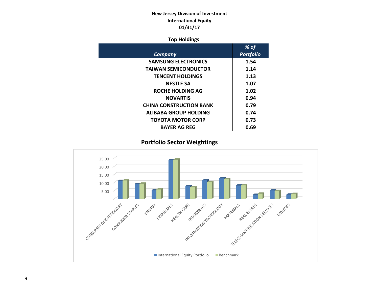### **New Jersey Division of Investment International Equity 01/31/17**

### **Top Holdings**

|                                | % of             |
|--------------------------------|------------------|
| Company                        | <b>Portfolio</b> |
| <b>SAMSUNG ELECTRONICS</b>     | 1.54             |
| <b>TAIWAN SEMICONDUCTOR</b>    | 1.14             |
| <b>TENCENT HOLDINGS</b>        | 1.13             |
| <b>NESTLE SA</b>               | 1.07             |
| ROCHE HOLDING AG               | 1.02             |
| <b>NOVARTIS</b>                | 0.94             |
| <b>CHINA CONSTRUCTION BANK</b> | 0.79             |
| <b>ALIBABA GROUP HOLDING</b>   | 0.74             |
| TOYOTA MOTOR CORP              | 0.73             |
| <b>BAYER AG REG</b>            | 0.69             |

 **Portfolio Sector Weightings**

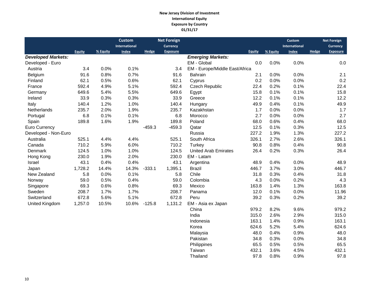#### **New Jersey Division of Investment International Equity Exposure by Country 01/31/17**

|                           |               |          | <b>Custom</b> |          | <b>Net Foreign</b> |                                |               |          | <b>Custom</b>        |              | <b>Net Foreign</b> |
|---------------------------|---------------|----------|---------------|----------|--------------------|--------------------------------|---------------|----------|----------------------|--------------|--------------------|
|                           |               |          | International |          | Currency           |                                |               |          | <b>International</b> |              | <b>Currency</b>    |
|                           | <b>Equity</b> | % Equity | <b>Index</b>  | Hedge    | <b>Exposure</b>    |                                | <b>Equity</b> | % Equity | <b>Index</b>         | <b>Hedge</b> | <b>Exposure</b>    |
| <b>Developed Markets:</b> |               |          |               |          |                    | <b>Emerging Markets:</b>       |               |          |                      |              |                    |
| Developed - Euro          |               |          |               |          |                    | EM - Global                    | 0.0           | 0.0%     | 0.0%                 |              | 0.0                |
| Austria                   | 3.4           | 0.0%     | 0.1%          |          | 3.4                | EM - Europe/Middle East/Africa |               |          |                      |              |                    |
| Belgium                   | 91.6          | 0.8%     | 0.7%          |          | 91.6               | <b>Bahrain</b>                 | 2.1           | 0.0%     | 0.0%                 |              | 2.1                |
| Finland                   | 62.1          | 0.5%     | 0.6%          |          | 62.1               | Cyprus                         | 0.2           | 0.0%     | 0.0%                 |              | 0.2                |
| France                    | 592.4         | 4.9%     | 5.1%          |          | 592.4              | Czech Republic                 | 22.4          | 0.2%     | 0.1%                 |              | 22.4               |
| Germany                   | 649.6         | 5.4%     | 5.5%          |          | 649.6              | Egypt                          | 15.8          | 0.1%     | 0.1%                 |              | 15.8               |
| Ireland                   | 33.9          | 0.3%     | 0.3%          |          | 33.9               | Greece                         | 12.2          | 0.1%     | 0.1%                 |              | 12.2               |
| Italy                     | 140.4         | 1.2%     | 1.0%          |          | 140.4              | Hungary                        | 49.9          | 0.4%     | 0.1%                 |              | 49.9               |
| <b>Netherlands</b>        | 235.7         | 2.0%     | 1.9%          |          | 235.7              | Kazakhstan                     | 1.7           | 0.0%     | 0.0%                 |              | 1.7                |
| Portugal                  | 6.8           | 0.1%     | 0.1%          |          | 6.8                | Morocco                        | 2.7           | 0.0%     | 0.0%                 |              | 2.7                |
| Spain                     | 189.8         | 1.6%     | 1.9%          |          | 189.8              | Poland                         | 68.0          | 0.6%     | 0.4%                 |              | 68.0               |
| <b>Euro Currency</b>      |               |          |               | $-459.3$ | $-459.3$           | Qatar                          | 12.5          | 0.1%     | 0.3%                 |              | 12.5               |
| Developed - Non-Euro      |               |          |               |          |                    | Russia                         | 227.2         | 1.9%     | 1.3%                 |              | 227.2              |
| Australia                 | 525.1         | 4.4%     | 4.4%          |          | 525.1              | South Africa                   | 326.1         | 2.7%     | 2.6%                 |              | 326.1              |
| Canada                    | 710.2         | 5.9%     | 6.0%          |          | 710.2              | Turkey                         | 90.8          | 0.8%     | 0.4%                 |              | 90.8               |
| Denmark                   | 124.5         | 1.0%     | 1.0%          |          | 124.5              | <b>United Arab Emirates</b>    | 26.4          | 0.2%     | 0.3%                 |              | 26.4               |
| Hong Kong                 | 230.0         | 1.9%     | 2.0%          |          | 230.0              | EM - Latam                     |               |          |                      |              |                    |
| Israel                    | 43.1          | 0.4%     | 0.4%          |          | 43.1               | Argentina                      | 48.9          | 0.4%     | 0.0%                 |              | 48.9               |
| Japan                     | 1,728.2       | 14.4%    | 14.3%         | $-333.1$ | 1,395.1            | <b>Brazil</b>                  | 446.7         | 3.7%     | 3.0%                 |              | 446.7              |
| New Zealand               | 5.8           | 0.0%     | 0.1%          |          | 5.8                | Chile                          | 31.8          | 0.3%     | 0.4%                 |              | 31.8               |
| Norway                    | 59.0          | 0.5%     | 0.4%          |          | 59.0               | Colombia                       | 4.3           | 0.0%     | 0.2%                 |              | 4.3                |
| Singapore                 | 69.3          | 0.6%     | 0.8%          |          | 69.3               | Mexico                         | 163.8         | 1.4%     | 1.3%                 |              | 163.8              |
| Sweden                    | 208.7         | 1.7%     | 1.7%          |          | 208.7              | Panama                         | 12.0          | 0.1%     | 0.0%                 |              | 11.96              |
| Switzerland               | 672.8         | 5.6%     | 5.1%          |          | 672.8              | Peru                           | 39.2          | 0.3%     | 0.2%                 |              | 39.2               |
| United Kingdom            | 1,257.0       | 10.5%    | 10.6%         | $-125.8$ | 1,131.2            | EM - Asia ex Japan             |               |          |                      |              |                    |
|                           |               |          |               |          |                    | China                          | 979.2         | 8.2%     | 9.6%                 |              | 979.2              |
|                           |               |          |               |          |                    | India                          | 315.0         | 2.6%     | 2.9%                 |              | 315.0              |
|                           |               |          |               |          |                    | Indonesia                      | 163.1         | 1.4%     | 0.9%                 |              | 163.1              |
|                           |               |          |               |          |                    | Korea                          | 624.6         | 5.2%     | 5.4%                 |              | 624.6              |
|                           |               |          |               |          |                    | Malaysia                       | 48.0          | 0.4%     | 0.9%                 |              | 48.0               |

Pakistan 34.8 0.3% 0.0% 34.8<br>Philippines 65.5 0.5% 0.5% 65.5 Philippines 65.5 0.5% 0.5% 65.5<br>Taiwan 432.1 3.6% 4.5% 432.1

Thailand 97.8 0.8% 0.9% 97.8

Taiwan 432.1 3.6%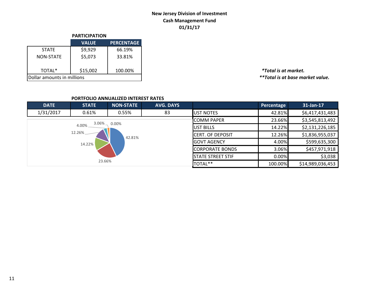### **New Jersey Division of Investment Cash Management Fund 01/31/17**

|                            | <b>PARTICIPATION</b> |                   |  |  |  |  |
|----------------------------|----------------------|-------------------|--|--|--|--|
|                            | <b>VALUE</b>         | <b>PERCENTAGE</b> |  |  |  |  |
| <b>STATE</b>               | \$9,929              | 66.19%            |  |  |  |  |
| <b>NON-STATE</b>           | \$5,073              | 33.81%            |  |  |  |  |
| TOTAL*                     | \$15,002             | 100.00%           |  |  |  |  |
| Dollar amounts in millions |                      |                   |  |  |  |  |

TOTAL\* \$15,002 100.00% *\*Total is at market.*  $*$ \*Total is at base market value.

### **PORTFOLIO ANNUALIZED INTEREST RATES**

| <b>DATE</b> | <b>STATE</b> | <b>NON-STATE</b> | <b>AVG. DAYS</b> |                          | Percentage | 31-Jan-17        |
|-------------|--------------|------------------|------------------|--------------------------|------------|------------------|
| 1/31/2017   | 0.61%        | 0.55%            | 83               | UST NOTES                | 42.81%     | \$6,417,431,483  |
|             |              | $3.06\%$ 0.00%   |                  | <b>COMM PAPER</b>        | 23.66%     | \$3,545,813,492  |
|             | 4.00%        |                  |                  | <b>IUST BILLS</b>        | 14.22%     | \$2,131,226,185  |
|             | 12.26%       | 42.81%           |                  | <b>ICERT. OF DEPOSIT</b> | 12.26%     | \$1,836,955,037  |
|             | 14.22%       |                  |                  | <b>IGOVT AGENCY</b>      | 4.00%      | \$599,635,300    |
|             |              |                  |                  | <b>CORPORATE BONDS</b>   | 3.06%      | \$457,971,918    |
|             |              |                  |                  | <b>STATE STREET STIF</b> | 0.00%      | \$3,038          |
|             | 23.66%       |                  |                  | TOTAL**                  | 100.00%    | \$14,989,036,453 |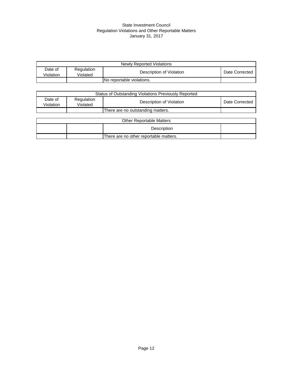#### State Investment Council Regulation Violations and Other Reportable Matters January 31, 2017

| Newly Reported Violations |                        |                           |                |  |  |
|---------------------------|------------------------|---------------------------|----------------|--|--|
| Date of<br>Violation      | Regulation<br>Violated | Description of Violation  | Date Corrected |  |  |
|                           |                        | No reportable violations. |                |  |  |

| Status of Outstanding Violations Previously Reported |                        |                                        |                |  |  |  |
|------------------------------------------------------|------------------------|----------------------------------------|----------------|--|--|--|
| Date of<br>Violation                                 | Regulation<br>Violated | Description of Violation               | Date Corrected |  |  |  |
|                                                      |                        | There are no outstanding matters.      |                |  |  |  |
|                                                      |                        |                                        |                |  |  |  |
|                                                      |                        | <b>Other Reportable Matters</b>        |                |  |  |  |
|                                                      |                        | Description                            |                |  |  |  |
|                                                      |                        | There are no other reportable matters. |                |  |  |  |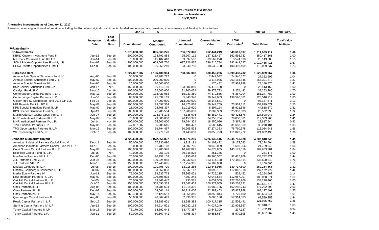#### **Alternative Investments as of January 31, 2017**

Presents underlying fund level information including the Portfolio's original commitments, funded amounts to date, remaining commitments and the distributions to date.

|                                                    |                   |                           | <b>Jan-17</b>     | А                                  |                                      | в                              | C                                        | $=(B+C)$           | $=(B+C)/A$                            |
|----------------------------------------------------|-------------------|---------------------------|-------------------|------------------------------------|--------------------------------------|--------------------------------|------------------------------------------|--------------------|---------------------------------------|
|                                                    | Inception<br>Date | Last<br>Valuation<br>Date | <b>Commitment</b> | Amount<br>Contributed <sub>1</sub> | <b>Unfunded</b><br><b>Commitment</b> | <b>Current Market</b><br>Value | <b>Total</b><br>Distributed <sup>2</sup> | <b>Total Value</b> | <b>Total Value</b><br><b>Multiple</b> |
| <b>Private Equity</b>                              |                   |                           |                   |                                    |                                      |                                |                                          |                    |                                       |
| <b>Co-Investments</b>                              |                   |                           | 1,675,000,000     | 895,563,276                        | 786,372,349                          | 962,444,219                    | 549,610,897                              | 1,512,055,117      | 1.69                                  |
| NB/NJ Custom Investment Fund II                    | Apr-12            | Sep-16                    | 200,000,000       | 174,792,888                        | 25,207,112                           | 187,823,427                    | 162,593,733                              | 350,417,161        | 2.00                                  |
| NJ Roark Co-Invest Fund III LLC                    | Jan-14            | Sep-16                    | 75,000,000        | 15,102,418                         | 59,897,582                           | 19,569,270                     | 3,574,038                                | 23,143,308         | 1.53                                  |
| SONJ Private Opportunities Fund II, L.P.           | Nov-07            | Sep-16                    | 1,300,000,000     | 609,008,760                        | 697,926,865                          | 736,515,784                    | 282,949,627                              | 1,019,465,411      | 1.67                                  |
| SONJ Private Opportunities Fund, L.P.              | Sep-06            | Sep-16                    | 100,000,000       | 96,659,210                         | 3,340,790                            | 18,535,738                     | 100,493,499                              | 119,029,237        | 1.23                                  |
| <b>Distressed Debt</b>                             |                   |                           | 1,827,807,307     | 1,196,400,904                      | 798,587,008                          | 530,456,236                    | 1,099,433,732                            | 1,629,889,967      | 1.36                                  |
| Avenue Asia Special Situations Fund IV             | Aug-06            | Sep-16                    | 30,000,000        | 26,283,722                         | $\Omega$                             | 2,442,532                      | 24,940,377                               | 27,382,909         | 1.04                                  |
| Avenue Special Situations Fund V, LP               | May-07            | Sep-16                    | 200,000,000       | 200,000,000                        | $\boldsymbol{0}$                     | 3,116,925                      | 263,184,545                              | 266,301,470        | 1.33                                  |
| <b>Avenue Special Situations IV</b>                | Nov-05            | Sep-16                    | 20,000,000        | 20,000,000                         | $\Omega$                             | 170,482                        | 27,969,988                               | 28,140,470         | 1.41                                  |
| BSP Special Situations Fund L.P.                   | $Jan-17$          | N/A                       | 150,000,000       | 26,413,150                         | 123,586,850                          | 26,413,150                     | $\Omega$                                 | 26,413,150         | 1.00                                  |
| Catalyst Fund LP V                                 | <b>Nov-15</b>     | Dec-16                    | 100,000,000       | 22,500,000                         | 81,900,034                           | 29,978,793                     | 8,274,492                                | 38,253,285         | 1.70                                  |
| Centerbridge Capital Partners II, L.P.             | May-11            | Sep-16                    | 100,000,000       | 138,423,088                        | 15,033,380                           | 74,879,885                     | 76,367,904                               | 151,247,789        | 1.09                                  |
| Centerbridge Capital Partners, L.P.                | Jun-06            | Sep-16                    | 80,000,000        | 125,032,169                        | 5,843,348                            | 26,949,653                     | 198,596,561                              | 225,546,214        | 1.80                                  |
| GoldenTree NJ Distressed Fund 2015 GP LLC          | Feb-16            | Dec-16                    | 300,000,000       | 87,000,000                         | 213,000,000                          | 98,147,571                     | $\mathbf 0$                              | 98,147,571         | 1.13                                  |
| HIG Bayside Debt & LBO II                          | May-08            | Sep-16                    | 100,000,000       | 99,097,364                         | 16,473,868                           | 79,944,759                     | 73,934,312                               | 153,879,071        | 1.55                                  |
| KPS Special Situations Fund III, LP                | May-07            | Sep-16                    | 25,000,000        | 24,708,397                         | 11,019,920                           | 8,897,124                      | 35,921,546                               | 44,818,670         | 1.81                                  |
| KPS Special Situations Fund IV, LP                 | Apr-13            | Sep-16                    | 200,000,000       | 21,705,584                         | 187,900,659                          | 2,609,389                      | 25,953,003                               | 28,562,393         | 1.32                                  |
| MatlinPatterson Global Opps. Ptnrs. III            | Jun-07            | Sep-16                    | 100,000,000       | 103,378,178                        | 4,336,976                            | 68,382,471                     | 59,425,576                               | 127,808,047        | 1.24                                  |
| MHR Institutional Partners III, L.P.               | May-07            | Dec-16                    | 75,000,000        | 79,500,000                         | 26,153,979                           | 34, 353, 704                   | 78,030,061                               | 112,383,765        | 1.41                                  |
| MHR Institutional Partners IV, L.P.                | $Jul-14$          | <b>Nov-16</b>             | 100,000,000       | 25,500,000                         | 79,584,324                           | 18,450,096                     | 5,367,448                                | 23,817,544         | 0.93                                  |
| TPG Financial Partners, L.P.                       | May-08            | Sep-16                    | 47,807,307        | 35,285,615                         | 104,477                              | 4,586,615                      | 31,683,569                               | 36,270,184         | 1.03                                  |
| TPG Opportunities Partners II, L.P.                | Mar-12            | Sep-16                    | 100,000,000       | 69,794,467                         | 30,205,533                           | 37,274,363                     | 78,760,578                               | 116,034,941        | 1.66                                  |
| WLR Recovery Fund IV, LP                           | Oct-07            | Sep-16                    | 100,000,000       | 91,779,170                         | 3,443,659                            | 13,858,723                     | 111,023,772                              | 124,882,495        | 1.36                                  |
| <b>Domestic Midmarket Buyout</b>                   |                   |                           | 3,729,660,000     | 3,072,865,837                      | 1,039,576,219                        | 2,225,135,415                  | 2,344,713,528                            | 4,569,848,943      | 1.49                                  |
| American Industrial Partners Capital Fund V        | Dec-11            | Sep-16                    | 50,000,000        | 57,230,690                         | 3,918,181                            | 54,102,422                     | 19,172,083                               | 73,274,504         | 1.28                                  |
| American Industrial Partners Capital Fund VI, L.P. | Sep-15            | Sep-16                    | 75,000,000        | 21,783,160                         | 54,907,796                           | 20,048,089                     | 1,690,956                                | 21,739,045         | 1.00                                  |
| Court Square Capital Partners II, L.P.             | May-07            | Sep-16                    | 100,000,000       | 91,285,978                         | 10,267,895                           | 24,673,865                     | 143,179,516                              | 167,853,381        | 1.84                                  |
| Excellere Capital Fund III, L.P.                   | $Jul-15$          | N/A                       | 40,000,000        | 251,175                            | 39,748,825                           | 251,175                        | $\mathbf 0$                              | 251,175            | 1.00                                  |
| InterMedia Partners VII, L.P.                      | $Dec-05$          | Sep-16                    | 75,000,000        | 96,252,158                         | 1,190,669                            | 46,366,562                     | 92,415,909                               | 138,782,471        | 1.44                                  |
| JLL Partners Fund VI, LP                           | <b>Jun-08</b>     | Sep-16                    | 150,000,000       | 190,924,988                        | 20,932,693                           | 163,114,128                    | 172,486,514                              | 335,600,642        | 1.76                                  |
| JLL Partners VII, LP                               | Mar-16            | Sep-16                    | 150,000,000       | 12,745,695                         | 137,254,305                          | 14,109,000                     | $\Omega$                                 | 14,109,000         | 1.11                                  |
| Lindsay Goldberg III, L.P.                         | Jul-08            | Sep-16                    | 200,000,000       | 191,796,720                        | 13,016,266                           | 112,546,965                    | 139,717,600                              | 252,264,565        | 1.32                                  |
| Lindsay, Goldberg & Bessemer II, L.P.              | Jul-06            | Sep-16                    | 100,000,000       | 93,052,833                         | 6,947,167                            | 20,090,161                     | 112,042,618                              | 132, 132, 779      | 1.42                                  |
| Marlin Equity Partners IV                          | $Jun-13$          | Sep-16                    | 75,000,000        | 39,637,773                         | 35,365,021                           | 44,725,215                     | 529,452                                  | 45,254,667         | 1.14                                  |
| New Mountain Partners III, L.P.                    | May-07            | Sep-16                    | 100,000,000       | 109,598,038                        | 7,307,243                            | 72,043,664                     | 112,987,007                              | 185,030,671        | 1.69                                  |
| Oak Hill Capital Partners II, L.P.                 | $Jul-05$          | Sep-16                    | 75,000,000        | 83,468,447                         | 233,571                              | 6,031,559                      | 127,266,906                              | 133,298,465        | 1.60                                  |
| Oak Hill Capital Partners III, L.P.                | Oct-07            | Sep-16                    | 250,000,000       | 305,590,363                        | 13,647,453                           | 160,373,055                    | 290,258,721                              | 450,631,776        | 1.47                                  |
| Onex Partners II, LP                               | Aug-06            | Sep-16                    | 100,000,000       | 88,781,604                         | 11,218,396                           | 14,980,155                     | 162,282,743                              | 177,262,898        | 2.00                                  |
| Onex Partners III, LP                              | Dec-08            | Sep-16                    | 100,000,000       | 108,661,114                        | 10,218,605                           | 82,289,453                     | 85,837,948                               | 168,127,401        | 1.55                                  |
| Onex Partners IV, LP                               | May-14            | Sep-16                    | 166,490,000       | 102,128,651                        | 64,361,349                           | 98,855,844                     | 4,779,100                                | 103,634,944        | 1.01                                  |
| Quadrangle Capital Partners II                     | Aug-05            | Sep-16                    | 50,000,000        | 46,867,499                         | 2,830,335                            | 9,685,188                      | 57,914,063                               | 67,599,252         | 1.44                                  |
| Roark Capital Partners III L.P.                    | Sep-12            | Sep-16                    | 100,000,000       | 94,886,601                         | 13,588,383                           | 100,417,315                    | 21,508,441                               | 121,925,757        | 1.28                                  |
| Sterling Capital Partners IV, L.P.                 | Apr-12            | Sep-16                    | 100,000,000       | 89,914,521                         | 16,082,168                           | 74,037,249                     | 22,903,567                               | 96,940,816         | 1.08                                  |
| Tenex Capital Partners II, LP                      | Mar-16            | Sep-16                    | 78,170,000        | 14,692,643                         | 63,477,357                           | 13,545,309                     | 237,127                                  | 13,782,436         | 0.94                                  |
| Tenex Capital Partners, L.P.                       | Jan-11            | Sep-16                    | 50,000,000        | 60,607,441                         | 4,765,334                            | 40,686,667                     | 45,970,595                               | 86,657,262         | 1.43                                  |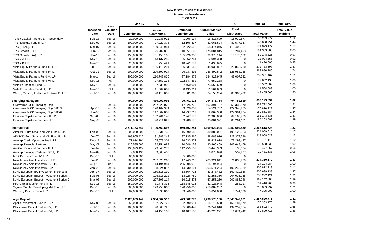| <b>Total</b><br><b>Unfunded</b><br><b>Current Market</b><br><b>Total Value</b><br>Inception<br>Valuation<br>Amount<br>Distributed <sup>2</sup><br><b>Total Value</b><br><b>Multiple</b><br>Date<br>Commitment<br><b>Commitment</b><br>Value<br>Date<br>Contributed <sub>1</sub><br>33,253,277<br>1.52<br>Tenex Capital Partners LP - Secondary<br>Feb-13<br>Sep-16<br>20,000,000<br>21,938,921<br>1,906,134<br>16,313,699<br>16,939,577<br>1.44<br>140,638,951<br>100,000,000<br>97,920,378<br>89,577,357<br>The Resolute Fund II, L.P.<br>Dec-07<br>Sep-16<br>12,106,437<br>51,061,594<br>1.57<br>171,879,177<br>TPG [STAR], LP<br>Mar-07<br>Sep-16<br>100,000,000<br>109,246,941<br>2,822,596<br>58,474,046<br>113,405,131<br>2.03<br>194,369,308<br>10,851,698<br>TPG Growth II, L.P.<br>Sep-16<br>100,000,000<br>95,909,818<br>178,084,815<br>16,284,493<br>Jun-12<br>0.97<br>50,148,326<br>TPG Growth III(A), L.P.<br>150,000,000<br>51,453,108<br>105,926,358<br>39,970,144<br>10,178,182<br>Jan-15<br>Sep-16<br>0.92<br>12,094,358<br>TSG 7 A L.P.<br>13, 137, 259<br>66,862,741<br>12,094,358<br>Nov-15<br>Sep-16<br>80,000,000<br>0<br>0.85<br>1,490,695<br>$\mathbf{0}$<br>TSG 7 B L.P.<br><b>Nov-15</b><br>20,000,000<br>1,758,421<br>18,241,579<br>1,490,695<br>Sep-16<br>2.57<br>272,783,597<br>Vista Equity Partners Fund III, L.P.<br>106,119,294<br>$Jul-07$<br>Sep-16<br>100,000,000<br>6,231,642<br>45,936,867<br>226,846,730<br>1.74<br>363,880,780<br>Vista Equity Partners Fund IV, L.P.<br>209,599,914<br>26,037,898<br>236,892,542<br>Oct-11<br>Sep-16<br>200,000,000<br>126,988,238<br>1.11<br>232,931,467<br>48,007,522<br>Vista Equity Partners Fund V, L.P.<br>Sep-16<br>200,000,000<br>210,748,836<br>37,184,978<br>184,923,945<br>Mar-14<br>1.00<br>77,652,138<br>Vista Equity Partners Fund VI, L.P.<br>N/A<br>200,000,000<br>77,652,138<br>122,347,862<br>77,652,138<br>$\mathbf 0$<br><b>Nov-16</b><br>1.09<br>73,552,609<br>67,539,996<br>73,552,609<br>0<br>Vista Foundation Fund II, L.P.<br><b>Nov-13</b><br>75,000,000<br>7,460,004<br>Sep-16<br>1.00<br>11,564,689<br>$\mathbf{0}$<br>Vista Foundation Fund III, L.P.<br>N/A<br>100,000,000<br>11,564,689<br>88,435,311<br>11,564,689<br>Nov-16<br>1.50<br>147,455,666<br>Welsh, Carson, Anderson & Stowe XI, L.P.<br>Oct-08<br>Sep-16<br>98,118,032<br>1,881,968<br>64,150,234<br>83,305,432<br>100,000,000<br>1.62<br>699,129,534<br><b>Emerging Managers</b><br>400,000,000<br>430,997,993<br>29,461,126<br>294,376,714<br>404,752,819<br>1.51<br>357,722,606<br>Grosvenor/NJDI Emerging Opp<br>200,000,000<br>237,525,026<br>17,925,778<br>107,391,737<br>250,330,870<br>Sep-16<br>Grosvenor/NJDI Emerging Opp (2007)<br>Apr-07<br>100,000,000<br>120, 162, 974<br>3,628,059<br>54,521,757<br>122,348,965<br>Sep-16<br>1.47<br>176.870.722<br>1.54<br>180,851,884<br>Grosvenor/NJDI Emerging Opp (2008)<br><b>Jun-08</b><br>Sep-16<br>100,000,000<br>117,362,052<br>14,297,719<br>52,869,980<br>127,981,904<br>1.57<br>161, 143, 835<br>Fairview Capstone Partners II, LP<br>102,761,145<br>2,247,170<br>Sep-08<br>Sep-16<br>100,000,000<br>91,983,056<br>69,160,779<br>1.99<br>180,263,092<br>Fairview Capstone Partners, LP<br>May-07<br>100,000,000<br>90,711,822<br>9,288,178<br>95,001,921<br>85,261,171<br>Sep-16<br>International<br>2,571,133,240<br>1,796,560,593<br>950,792,241<br>1,109,924,094<br>1,252,694,430<br>2,362,618,523<br>1.32<br>224,009,015<br>1.17<br>AIMS/NJ Euro Small and Mid Fund I. L.P.<br>Feb-06<br>200,000,000<br>191,631,732<br>16,290,683<br>30,882,091<br>Sep-16<br>193,126,923<br>1.13<br>217,068,522<br>Jul-07<br>191,988,249<br>88,688,976<br>128,379,546<br>AIMS/NJ Euro Small and Mid Fund II, L.P.<br>Sep-16<br>198,965,422<br>27,135,865<br>1.10<br>116,721,115<br>Anacap Credit Opportunities II, LP<br>Dec-11<br>Sep-16<br>77,614,291<br>105,678,301<br>16,633,972<br>38,427,678<br>78,293,437<br>1.09<br>198,508,938<br><b>Anacap Financial Partners II</b><br>107,648,469<br>May-08<br>Sep-16<br>126,585,665<br>182, 154, 687<br>10,046,158<br>90,860,469<br>0.66<br>15,477,067<br>AnaCap Financial Partners III, L.P.<br>$Jul-14$<br>136,099,424<br>23,340,272<br>112,759,152<br>15,440,983<br>36,084<br>Sep-16<br>1.06<br>10,431,633<br>Anacap Financial Partners GP II, LP<br>9,868,438<br>9,868,438<br>$\Omega$<br>9,873,696<br>557,937<br>Nov-09<br>Sep-16<br>MBK Partners Fund IV, L.P.<br>N/A<br>$\mathbf 0$<br>Dec-16<br>85,000,000<br>85,000,000<br>$\mathbf 0$<br>$\mathbf 0$<br>1.33<br>274,360,570<br>New Jersey Asia Investors II, L.P.<br>$Jul-11$<br>200,000,000<br>207,025,263<br>17,743,218<br>203,321,641<br>71,038,929<br>Sep-16<br>14,194,984<br>1.00<br>New Jersey Asia Investors III, L.P.<br>300,000,000<br>14,194,984<br>285,805,016<br>14,194,984<br>$\mathbf 0$<br>Aug-16<br>Jun-16<br>305,812,213<br>3.11<br>New Jersey Asia Investors, L.P.<br>98,324,817<br>102,240,929<br>Sep-16<br>100,000,000<br>14,330,191<br>203,571,284<br>Jan-08<br>1.37<br>NJHL European BO Investment II Series B<br>205,699,138<br>Sep-16<br>200,000,000<br>150,516,190<br>13,664,715<br>43,278,482<br>162,420,656<br>Apr-07<br>1.31<br>255,292,121<br>NJHL European Buyout Investment Series A<br>200,000,000<br>195,318,212<br>13,226,780<br>51,256,366<br>204.035.755<br>Feb-06<br>Sep-16<br>1.29<br>NJHL European Buyout Investment Series C<br>268,142,006<br>Sep-16<br>200,000,000<br>207,598,114<br>16,215,476<br>67,255,260<br>200,886,746<br>Mar-08<br>0.99<br>31,416,965<br>RRJ Capital Master Fund III, L.P.<br>Sep-15<br>Sep-16<br>150,000,000<br>31,776,335<br>118,345,015<br>31,128,948<br>288,017<br>Siguler Guff NJ Developing Mkt Fund, LP<br>Dec-13<br>300,000,000<br>179,750,000<br>120,250,000<br>218,089,237<br>218,089,237<br>1.21<br>Sep-16<br>$\mathbf 0$<br>1.00<br>7,395,000<br>Warburg Pincus China, L.P.<br>N/A<br>$Dec-16$<br>87,000,000<br>7,395,000<br>83,346,000<br>3,654,000<br>3,741,000<br>1.41<br>3,287,520,771<br>Large Buyout<br>2,426,063,447<br>2,334,507,510<br>479,802,779<br>1,238,578,150<br>2,048,942,621<br>170,303,176<br>1.29<br>Apollo Investment Fund VI, L.P.<br><b>Nov-05</b><br>50,000,000<br>132,027,729<br>2,090,014<br>14,115,598<br>156, 187, 579<br>Sep-16<br>163,502,470<br>1.65<br>Blackstone Capital Partners V, L.P.<br>Oct-05<br>100,000,000<br>98,860,728<br>5,600,442<br>137,257,854<br>Sep-16<br>26,244,616<br>59,899,713<br>1.36<br>Blackstone Capital Partners VI, L.P.<br>Mar-12<br>Sep-16<br>50,000,000<br>44, 155, 103<br>10,407,153<br>48,225,271<br>11,674,442 |  |      | <b>Jan-17</b> | Α | в | C | $=(B+C)$ | $=(B+C)/A$ |
|-----------------------------------------------------------------------------------------------------------------------------------------------------------------------------------------------------------------------------------------------------------------------------------------------------------------------------------------------------------------------------------------------------------------------------------------------------------------------------------------------------------------------------------------------------------------------------------------------------------------------------------------------------------------------------------------------------------------------------------------------------------------------------------------------------------------------------------------------------------------------------------------------------------------------------------------------------------------------------------------------------------------------------------------------------------------------------------------------------------------------------------------------------------------------------------------------------------------------------------------------------------------------------------------------------------------------------------------------------------------------------------------------------------------------------------------------------------------------------------------------------------------------------------------------------------------------------------------------------------------------------------------------------------------------------------------------------------------------------------------------------------------------------------------------------------------------------------------------------------------------------------------------------------------------------------------------------------------------------------------------------------------------------------------------------------------------------------------------------------------------------------------------------------------------------------------------------------------------------------------------------------------------------------------------------------------------------------------------------------------------------------------------------------------------------------------------------------------------------------------------------------------------------------------------------------------------------------------------------------------------------------------------------------------------------------------------------------------------------------------------------------------------------------------------------------------------------------------------------------------------------------------------------------------------------------------------------------------------------------------------------------------------------------------------------------------------------------------------------------------------------------------------------------------------------------------------------------------------------------------------------------------------------------------------------------------------------------------------------------------------------------------------------------------------------------------------------------------------------------------------------------------------------------------------------------------------------------------------------------------------------------------------------------------------------------------------------------------------------------------------------------------------------------------------------------------------------------------------------------------------------------------------------------------------------------------------------------------------------------------------------------------------------------------------------------------------------------------------------------------------------------------------------------------------------------------------------------------------------------------------------------------------------------------------------------------------------------------------------------------------------------------------------------------------------------------------------------------------------------------------------------------------------------------------------------------------------------------------------------------------------------------------------------------------------------------------------------------------------------------------------------------------------------------------------------------------------------------------------------------------------------------------------------------------------------------------------------------------------------------------------------------------------------------------------------------------------------------------------------------------------------------------------------------------------------------------------------------------------------------------------------------------------------------------------------------------------------------------------------------------------------------------------------------------------------------------------------------------------------------------------------------------------------------------------------------------------------------------------------------------------------------------------------------------------------------------------------------------------------------------------------------------------------------------------------------------------------------------------------------------------------------------------------------------------------------------------------------------------------------------------------------------------------------------------------------------------------------------------------------------------------------------------------------------------------------------------------------------------------------------------------------------------------------------------------------------------------------------------------------------------------------------------------------------------------------------------------------------------------------------------------------------------------------------------------------------------------------|--|------|---------------|---|---|---|----------|------------|
|                                                                                                                                                                                                                                                                                                                                                                                                                                                                                                                                                                                                                                                                                                                                                                                                                                                                                                                                                                                                                                                                                                                                                                                                                                                                                                                                                                                                                                                                                                                                                                                                                                                                                                                                                                                                                                                                                                                                                                                                                                                                                                                                                                                                                                                                                                                                                                                                                                                                                                                                                                                                                                                                                                                                                                                                                                                                                                                                                                                                                                                                                                                                                                                                                                                                                                                                                                                                                                                                                                                                                                                                                                                                                                                                                                                                                                                                                                                                                                                                                                                                                                                                                                                                                                                                                                                                                                                                                                                                                                                                                                                                                                                                                                                                                                                                                                                                                                                                                                                                                                                                                                                                                                                                                                                                                                                                                                                                                                                                                                                                                                                                                                                                                                                                                                                                                                                                                                                                                                                                                                                                                                                                                                                                                                                                                                                                                                                                                                                                                                                                                                                         |  | Last |               |   |   |   |          |            |
|                                                                                                                                                                                                                                                                                                                                                                                                                                                                                                                                                                                                                                                                                                                                                                                                                                                                                                                                                                                                                                                                                                                                                                                                                                                                                                                                                                                                                                                                                                                                                                                                                                                                                                                                                                                                                                                                                                                                                                                                                                                                                                                                                                                                                                                                                                                                                                                                                                                                                                                                                                                                                                                                                                                                                                                                                                                                                                                                                                                                                                                                                                                                                                                                                                                                                                                                                                                                                                                                                                                                                                                                                                                                                                                                                                                                                                                                                                                                                                                                                                                                                                                                                                                                                                                                                                                                                                                                                                                                                                                                                                                                                                                                                                                                                                                                                                                                                                                                                                                                                                                                                                                                                                                                                                                                                                                                                                                                                                                                                                                                                                                                                                                                                                                                                                                                                                                                                                                                                                                                                                                                                                                                                                                                                                                                                                                                                                                                                                                                                                                                                                                         |  |      |               |   |   |   |          |            |
|                                                                                                                                                                                                                                                                                                                                                                                                                                                                                                                                                                                                                                                                                                                                                                                                                                                                                                                                                                                                                                                                                                                                                                                                                                                                                                                                                                                                                                                                                                                                                                                                                                                                                                                                                                                                                                                                                                                                                                                                                                                                                                                                                                                                                                                                                                                                                                                                                                                                                                                                                                                                                                                                                                                                                                                                                                                                                                                                                                                                                                                                                                                                                                                                                                                                                                                                                                                                                                                                                                                                                                                                                                                                                                                                                                                                                                                                                                                                                                                                                                                                                                                                                                                                                                                                                                                                                                                                                                                                                                                                                                                                                                                                                                                                                                                                                                                                                                                                                                                                                                                                                                                                                                                                                                                                                                                                                                                                                                                                                                                                                                                                                                                                                                                                                                                                                                                                                                                                                                                                                                                                                                                                                                                                                                                                                                                                                                                                                                                                                                                                                                                         |  |      |               |   |   |   |          |            |
|                                                                                                                                                                                                                                                                                                                                                                                                                                                                                                                                                                                                                                                                                                                                                                                                                                                                                                                                                                                                                                                                                                                                                                                                                                                                                                                                                                                                                                                                                                                                                                                                                                                                                                                                                                                                                                                                                                                                                                                                                                                                                                                                                                                                                                                                                                                                                                                                                                                                                                                                                                                                                                                                                                                                                                                                                                                                                                                                                                                                                                                                                                                                                                                                                                                                                                                                                                                                                                                                                                                                                                                                                                                                                                                                                                                                                                                                                                                                                                                                                                                                                                                                                                                                                                                                                                                                                                                                                                                                                                                                                                                                                                                                                                                                                                                                                                                                                                                                                                                                                                                                                                                                                                                                                                                                                                                                                                                                                                                                                                                                                                                                                                                                                                                                                                                                                                                                                                                                                                                                                                                                                                                                                                                                                                                                                                                                                                                                                                                                                                                                                                                         |  |      |               |   |   |   |          |            |
|                                                                                                                                                                                                                                                                                                                                                                                                                                                                                                                                                                                                                                                                                                                                                                                                                                                                                                                                                                                                                                                                                                                                                                                                                                                                                                                                                                                                                                                                                                                                                                                                                                                                                                                                                                                                                                                                                                                                                                                                                                                                                                                                                                                                                                                                                                                                                                                                                                                                                                                                                                                                                                                                                                                                                                                                                                                                                                                                                                                                                                                                                                                                                                                                                                                                                                                                                                                                                                                                                                                                                                                                                                                                                                                                                                                                                                                                                                                                                                                                                                                                                                                                                                                                                                                                                                                                                                                                                                                                                                                                                                                                                                                                                                                                                                                                                                                                                                                                                                                                                                                                                                                                                                                                                                                                                                                                                                                                                                                                                                                                                                                                                                                                                                                                                                                                                                                                                                                                                                                                                                                                                                                                                                                                                                                                                                                                                                                                                                                                                                                                                                                         |  |      |               |   |   |   |          |            |
|                                                                                                                                                                                                                                                                                                                                                                                                                                                                                                                                                                                                                                                                                                                                                                                                                                                                                                                                                                                                                                                                                                                                                                                                                                                                                                                                                                                                                                                                                                                                                                                                                                                                                                                                                                                                                                                                                                                                                                                                                                                                                                                                                                                                                                                                                                                                                                                                                                                                                                                                                                                                                                                                                                                                                                                                                                                                                                                                                                                                                                                                                                                                                                                                                                                                                                                                                                                                                                                                                                                                                                                                                                                                                                                                                                                                                                                                                                                                                                                                                                                                                                                                                                                                                                                                                                                                                                                                                                                                                                                                                                                                                                                                                                                                                                                                                                                                                                                                                                                                                                                                                                                                                                                                                                                                                                                                                                                                                                                                                                                                                                                                                                                                                                                                                                                                                                                                                                                                                                                                                                                                                                                                                                                                                                                                                                                                                                                                                                                                                                                                                                                         |  |      |               |   |   |   |          |            |
|                                                                                                                                                                                                                                                                                                                                                                                                                                                                                                                                                                                                                                                                                                                                                                                                                                                                                                                                                                                                                                                                                                                                                                                                                                                                                                                                                                                                                                                                                                                                                                                                                                                                                                                                                                                                                                                                                                                                                                                                                                                                                                                                                                                                                                                                                                                                                                                                                                                                                                                                                                                                                                                                                                                                                                                                                                                                                                                                                                                                                                                                                                                                                                                                                                                                                                                                                                                                                                                                                                                                                                                                                                                                                                                                                                                                                                                                                                                                                                                                                                                                                                                                                                                                                                                                                                                                                                                                                                                                                                                                                                                                                                                                                                                                                                                                                                                                                                                                                                                                                                                                                                                                                                                                                                                                                                                                                                                                                                                                                                                                                                                                                                                                                                                                                                                                                                                                                                                                                                                                                                                                                                                                                                                                                                                                                                                                                                                                                                                                                                                                                                                         |  |      |               |   |   |   |          |            |
|                                                                                                                                                                                                                                                                                                                                                                                                                                                                                                                                                                                                                                                                                                                                                                                                                                                                                                                                                                                                                                                                                                                                                                                                                                                                                                                                                                                                                                                                                                                                                                                                                                                                                                                                                                                                                                                                                                                                                                                                                                                                                                                                                                                                                                                                                                                                                                                                                                                                                                                                                                                                                                                                                                                                                                                                                                                                                                                                                                                                                                                                                                                                                                                                                                                                                                                                                                                                                                                                                                                                                                                                                                                                                                                                                                                                                                                                                                                                                                                                                                                                                                                                                                                                                                                                                                                                                                                                                                                                                                                                                                                                                                                                                                                                                                                                                                                                                                                                                                                                                                                                                                                                                                                                                                                                                                                                                                                                                                                                                                                                                                                                                                                                                                                                                                                                                                                                                                                                                                                                                                                                                                                                                                                                                                                                                                                                                                                                                                                                                                                                                                                         |  |      |               |   |   |   |          |            |
|                                                                                                                                                                                                                                                                                                                                                                                                                                                                                                                                                                                                                                                                                                                                                                                                                                                                                                                                                                                                                                                                                                                                                                                                                                                                                                                                                                                                                                                                                                                                                                                                                                                                                                                                                                                                                                                                                                                                                                                                                                                                                                                                                                                                                                                                                                                                                                                                                                                                                                                                                                                                                                                                                                                                                                                                                                                                                                                                                                                                                                                                                                                                                                                                                                                                                                                                                                                                                                                                                                                                                                                                                                                                                                                                                                                                                                                                                                                                                                                                                                                                                                                                                                                                                                                                                                                                                                                                                                                                                                                                                                                                                                                                                                                                                                                                                                                                                                                                                                                                                                                                                                                                                                                                                                                                                                                                                                                                                                                                                                                                                                                                                                                                                                                                                                                                                                                                                                                                                                                                                                                                                                                                                                                                                                                                                                                                                                                                                                                                                                                                                                                         |  |      |               |   |   |   |          |            |
|                                                                                                                                                                                                                                                                                                                                                                                                                                                                                                                                                                                                                                                                                                                                                                                                                                                                                                                                                                                                                                                                                                                                                                                                                                                                                                                                                                                                                                                                                                                                                                                                                                                                                                                                                                                                                                                                                                                                                                                                                                                                                                                                                                                                                                                                                                                                                                                                                                                                                                                                                                                                                                                                                                                                                                                                                                                                                                                                                                                                                                                                                                                                                                                                                                                                                                                                                                                                                                                                                                                                                                                                                                                                                                                                                                                                                                                                                                                                                                                                                                                                                                                                                                                                                                                                                                                                                                                                                                                                                                                                                                                                                                                                                                                                                                                                                                                                                                                                                                                                                                                                                                                                                                                                                                                                                                                                                                                                                                                                                                                                                                                                                                                                                                                                                                                                                                                                                                                                                                                                                                                                                                                                                                                                                                                                                                                                                                                                                                                                                                                                                                                         |  |      |               |   |   |   |          |            |
|                                                                                                                                                                                                                                                                                                                                                                                                                                                                                                                                                                                                                                                                                                                                                                                                                                                                                                                                                                                                                                                                                                                                                                                                                                                                                                                                                                                                                                                                                                                                                                                                                                                                                                                                                                                                                                                                                                                                                                                                                                                                                                                                                                                                                                                                                                                                                                                                                                                                                                                                                                                                                                                                                                                                                                                                                                                                                                                                                                                                                                                                                                                                                                                                                                                                                                                                                                                                                                                                                                                                                                                                                                                                                                                                                                                                                                                                                                                                                                                                                                                                                                                                                                                                                                                                                                                                                                                                                                                                                                                                                                                                                                                                                                                                                                                                                                                                                                                                                                                                                                                                                                                                                                                                                                                                                                                                                                                                                                                                                                                                                                                                                                                                                                                                                                                                                                                                                                                                                                                                                                                                                                                                                                                                                                                                                                                                                                                                                                                                                                                                                                                         |  |      |               |   |   |   |          |            |
|                                                                                                                                                                                                                                                                                                                                                                                                                                                                                                                                                                                                                                                                                                                                                                                                                                                                                                                                                                                                                                                                                                                                                                                                                                                                                                                                                                                                                                                                                                                                                                                                                                                                                                                                                                                                                                                                                                                                                                                                                                                                                                                                                                                                                                                                                                                                                                                                                                                                                                                                                                                                                                                                                                                                                                                                                                                                                                                                                                                                                                                                                                                                                                                                                                                                                                                                                                                                                                                                                                                                                                                                                                                                                                                                                                                                                                                                                                                                                                                                                                                                                                                                                                                                                                                                                                                                                                                                                                                                                                                                                                                                                                                                                                                                                                                                                                                                                                                                                                                                                                                                                                                                                                                                                                                                                                                                                                                                                                                                                                                                                                                                                                                                                                                                                                                                                                                                                                                                                                                                                                                                                                                                                                                                                                                                                                                                                                                                                                                                                                                                                                                         |  |      |               |   |   |   |          |            |
|                                                                                                                                                                                                                                                                                                                                                                                                                                                                                                                                                                                                                                                                                                                                                                                                                                                                                                                                                                                                                                                                                                                                                                                                                                                                                                                                                                                                                                                                                                                                                                                                                                                                                                                                                                                                                                                                                                                                                                                                                                                                                                                                                                                                                                                                                                                                                                                                                                                                                                                                                                                                                                                                                                                                                                                                                                                                                                                                                                                                                                                                                                                                                                                                                                                                                                                                                                                                                                                                                                                                                                                                                                                                                                                                                                                                                                                                                                                                                                                                                                                                                                                                                                                                                                                                                                                                                                                                                                                                                                                                                                                                                                                                                                                                                                                                                                                                                                                                                                                                                                                                                                                                                                                                                                                                                                                                                                                                                                                                                                                                                                                                                                                                                                                                                                                                                                                                                                                                                                                                                                                                                                                                                                                                                                                                                                                                                                                                                                                                                                                                                                                         |  |      |               |   |   |   |          |            |
|                                                                                                                                                                                                                                                                                                                                                                                                                                                                                                                                                                                                                                                                                                                                                                                                                                                                                                                                                                                                                                                                                                                                                                                                                                                                                                                                                                                                                                                                                                                                                                                                                                                                                                                                                                                                                                                                                                                                                                                                                                                                                                                                                                                                                                                                                                                                                                                                                                                                                                                                                                                                                                                                                                                                                                                                                                                                                                                                                                                                                                                                                                                                                                                                                                                                                                                                                                                                                                                                                                                                                                                                                                                                                                                                                                                                                                                                                                                                                                                                                                                                                                                                                                                                                                                                                                                                                                                                                                                                                                                                                                                                                                                                                                                                                                                                                                                                                                                                                                                                                                                                                                                                                                                                                                                                                                                                                                                                                                                                                                                                                                                                                                                                                                                                                                                                                                                                                                                                                                                                                                                                                                                                                                                                                                                                                                                                                                                                                                                                                                                                                                                         |  |      |               |   |   |   |          |            |
|                                                                                                                                                                                                                                                                                                                                                                                                                                                                                                                                                                                                                                                                                                                                                                                                                                                                                                                                                                                                                                                                                                                                                                                                                                                                                                                                                                                                                                                                                                                                                                                                                                                                                                                                                                                                                                                                                                                                                                                                                                                                                                                                                                                                                                                                                                                                                                                                                                                                                                                                                                                                                                                                                                                                                                                                                                                                                                                                                                                                                                                                                                                                                                                                                                                                                                                                                                                                                                                                                                                                                                                                                                                                                                                                                                                                                                                                                                                                                                                                                                                                                                                                                                                                                                                                                                                                                                                                                                                                                                                                                                                                                                                                                                                                                                                                                                                                                                                                                                                                                                                                                                                                                                                                                                                                                                                                                                                                                                                                                                                                                                                                                                                                                                                                                                                                                                                                                                                                                                                                                                                                                                                                                                                                                                                                                                                                                                                                                                                                                                                                                                                         |  |      |               |   |   |   |          |            |
|                                                                                                                                                                                                                                                                                                                                                                                                                                                                                                                                                                                                                                                                                                                                                                                                                                                                                                                                                                                                                                                                                                                                                                                                                                                                                                                                                                                                                                                                                                                                                                                                                                                                                                                                                                                                                                                                                                                                                                                                                                                                                                                                                                                                                                                                                                                                                                                                                                                                                                                                                                                                                                                                                                                                                                                                                                                                                                                                                                                                                                                                                                                                                                                                                                                                                                                                                                                                                                                                                                                                                                                                                                                                                                                                                                                                                                                                                                                                                                                                                                                                                                                                                                                                                                                                                                                                                                                                                                                                                                                                                                                                                                                                                                                                                                                                                                                                                                                                                                                                                                                                                                                                                                                                                                                                                                                                                                                                                                                                                                                                                                                                                                                                                                                                                                                                                                                                                                                                                                                                                                                                                                                                                                                                                                                                                                                                                                                                                                                                                                                                                                                         |  |      |               |   |   |   |          |            |
|                                                                                                                                                                                                                                                                                                                                                                                                                                                                                                                                                                                                                                                                                                                                                                                                                                                                                                                                                                                                                                                                                                                                                                                                                                                                                                                                                                                                                                                                                                                                                                                                                                                                                                                                                                                                                                                                                                                                                                                                                                                                                                                                                                                                                                                                                                                                                                                                                                                                                                                                                                                                                                                                                                                                                                                                                                                                                                                                                                                                                                                                                                                                                                                                                                                                                                                                                                                                                                                                                                                                                                                                                                                                                                                                                                                                                                                                                                                                                                                                                                                                                                                                                                                                                                                                                                                                                                                                                                                                                                                                                                                                                                                                                                                                                                                                                                                                                                                                                                                                                                                                                                                                                                                                                                                                                                                                                                                                                                                                                                                                                                                                                                                                                                                                                                                                                                                                                                                                                                                                                                                                                                                                                                                                                                                                                                                                                                                                                                                                                                                                                                                         |  |      |               |   |   |   |          |            |
|                                                                                                                                                                                                                                                                                                                                                                                                                                                                                                                                                                                                                                                                                                                                                                                                                                                                                                                                                                                                                                                                                                                                                                                                                                                                                                                                                                                                                                                                                                                                                                                                                                                                                                                                                                                                                                                                                                                                                                                                                                                                                                                                                                                                                                                                                                                                                                                                                                                                                                                                                                                                                                                                                                                                                                                                                                                                                                                                                                                                                                                                                                                                                                                                                                                                                                                                                                                                                                                                                                                                                                                                                                                                                                                                                                                                                                                                                                                                                                                                                                                                                                                                                                                                                                                                                                                                                                                                                                                                                                                                                                                                                                                                                                                                                                                                                                                                                                                                                                                                                                                                                                                                                                                                                                                                                                                                                                                                                                                                                                                                                                                                                                                                                                                                                                                                                                                                                                                                                                                                                                                                                                                                                                                                                                                                                                                                                                                                                                                                                                                                                                                         |  |      |               |   |   |   |          |            |
|                                                                                                                                                                                                                                                                                                                                                                                                                                                                                                                                                                                                                                                                                                                                                                                                                                                                                                                                                                                                                                                                                                                                                                                                                                                                                                                                                                                                                                                                                                                                                                                                                                                                                                                                                                                                                                                                                                                                                                                                                                                                                                                                                                                                                                                                                                                                                                                                                                                                                                                                                                                                                                                                                                                                                                                                                                                                                                                                                                                                                                                                                                                                                                                                                                                                                                                                                                                                                                                                                                                                                                                                                                                                                                                                                                                                                                                                                                                                                                                                                                                                                                                                                                                                                                                                                                                                                                                                                                                                                                                                                                                                                                                                                                                                                                                                                                                                                                                                                                                                                                                                                                                                                                                                                                                                                                                                                                                                                                                                                                                                                                                                                                                                                                                                                                                                                                                                                                                                                                                                                                                                                                                                                                                                                                                                                                                                                                                                                                                                                                                                                                                         |  |      |               |   |   |   |          |            |
|                                                                                                                                                                                                                                                                                                                                                                                                                                                                                                                                                                                                                                                                                                                                                                                                                                                                                                                                                                                                                                                                                                                                                                                                                                                                                                                                                                                                                                                                                                                                                                                                                                                                                                                                                                                                                                                                                                                                                                                                                                                                                                                                                                                                                                                                                                                                                                                                                                                                                                                                                                                                                                                                                                                                                                                                                                                                                                                                                                                                                                                                                                                                                                                                                                                                                                                                                                                                                                                                                                                                                                                                                                                                                                                                                                                                                                                                                                                                                                                                                                                                                                                                                                                                                                                                                                                                                                                                                                                                                                                                                                                                                                                                                                                                                                                                                                                                                                                                                                                                                                                                                                                                                                                                                                                                                                                                                                                                                                                                                                                                                                                                                                                                                                                                                                                                                                                                                                                                                                                                                                                                                                                                                                                                                                                                                                                                                                                                                                                                                                                                                                                         |  |      |               |   |   |   |          |            |
|                                                                                                                                                                                                                                                                                                                                                                                                                                                                                                                                                                                                                                                                                                                                                                                                                                                                                                                                                                                                                                                                                                                                                                                                                                                                                                                                                                                                                                                                                                                                                                                                                                                                                                                                                                                                                                                                                                                                                                                                                                                                                                                                                                                                                                                                                                                                                                                                                                                                                                                                                                                                                                                                                                                                                                                                                                                                                                                                                                                                                                                                                                                                                                                                                                                                                                                                                                                                                                                                                                                                                                                                                                                                                                                                                                                                                                                                                                                                                                                                                                                                                                                                                                                                                                                                                                                                                                                                                                                                                                                                                                                                                                                                                                                                                                                                                                                                                                                                                                                                                                                                                                                                                                                                                                                                                                                                                                                                                                                                                                                                                                                                                                                                                                                                                                                                                                                                                                                                                                                                                                                                                                                                                                                                                                                                                                                                                                                                                                                                                                                                                                                         |  |      |               |   |   |   |          |            |
|                                                                                                                                                                                                                                                                                                                                                                                                                                                                                                                                                                                                                                                                                                                                                                                                                                                                                                                                                                                                                                                                                                                                                                                                                                                                                                                                                                                                                                                                                                                                                                                                                                                                                                                                                                                                                                                                                                                                                                                                                                                                                                                                                                                                                                                                                                                                                                                                                                                                                                                                                                                                                                                                                                                                                                                                                                                                                                                                                                                                                                                                                                                                                                                                                                                                                                                                                                                                                                                                                                                                                                                                                                                                                                                                                                                                                                                                                                                                                                                                                                                                                                                                                                                                                                                                                                                                                                                                                                                                                                                                                                                                                                                                                                                                                                                                                                                                                                                                                                                                                                                                                                                                                                                                                                                                                                                                                                                                                                                                                                                                                                                                                                                                                                                                                                                                                                                                                                                                                                                                                                                                                                                                                                                                                                                                                                                                                                                                                                                                                                                                                                                         |  |      |               |   |   |   |          |            |
|                                                                                                                                                                                                                                                                                                                                                                                                                                                                                                                                                                                                                                                                                                                                                                                                                                                                                                                                                                                                                                                                                                                                                                                                                                                                                                                                                                                                                                                                                                                                                                                                                                                                                                                                                                                                                                                                                                                                                                                                                                                                                                                                                                                                                                                                                                                                                                                                                                                                                                                                                                                                                                                                                                                                                                                                                                                                                                                                                                                                                                                                                                                                                                                                                                                                                                                                                                                                                                                                                                                                                                                                                                                                                                                                                                                                                                                                                                                                                                                                                                                                                                                                                                                                                                                                                                                                                                                                                                                                                                                                                                                                                                                                                                                                                                                                                                                                                                                                                                                                                                                                                                                                                                                                                                                                                                                                                                                                                                                                                                                                                                                                                                                                                                                                                                                                                                                                                                                                                                                                                                                                                                                                                                                                                                                                                                                                                                                                                                                                                                                                                                                         |  |      |               |   |   |   |          |            |
|                                                                                                                                                                                                                                                                                                                                                                                                                                                                                                                                                                                                                                                                                                                                                                                                                                                                                                                                                                                                                                                                                                                                                                                                                                                                                                                                                                                                                                                                                                                                                                                                                                                                                                                                                                                                                                                                                                                                                                                                                                                                                                                                                                                                                                                                                                                                                                                                                                                                                                                                                                                                                                                                                                                                                                                                                                                                                                                                                                                                                                                                                                                                                                                                                                                                                                                                                                                                                                                                                                                                                                                                                                                                                                                                                                                                                                                                                                                                                                                                                                                                                                                                                                                                                                                                                                                                                                                                                                                                                                                                                                                                                                                                                                                                                                                                                                                                                                                                                                                                                                                                                                                                                                                                                                                                                                                                                                                                                                                                                                                                                                                                                                                                                                                                                                                                                                                                                                                                                                                                                                                                                                                                                                                                                                                                                                                                                                                                                                                                                                                                                                                         |  |      |               |   |   |   |          |            |
|                                                                                                                                                                                                                                                                                                                                                                                                                                                                                                                                                                                                                                                                                                                                                                                                                                                                                                                                                                                                                                                                                                                                                                                                                                                                                                                                                                                                                                                                                                                                                                                                                                                                                                                                                                                                                                                                                                                                                                                                                                                                                                                                                                                                                                                                                                                                                                                                                                                                                                                                                                                                                                                                                                                                                                                                                                                                                                                                                                                                                                                                                                                                                                                                                                                                                                                                                                                                                                                                                                                                                                                                                                                                                                                                                                                                                                                                                                                                                                                                                                                                                                                                                                                                                                                                                                                                                                                                                                                                                                                                                                                                                                                                                                                                                                                                                                                                                                                                                                                                                                                                                                                                                                                                                                                                                                                                                                                                                                                                                                                                                                                                                                                                                                                                                                                                                                                                                                                                                                                                                                                                                                                                                                                                                                                                                                                                                                                                                                                                                                                                                                                         |  |      |               |   |   |   |          |            |
|                                                                                                                                                                                                                                                                                                                                                                                                                                                                                                                                                                                                                                                                                                                                                                                                                                                                                                                                                                                                                                                                                                                                                                                                                                                                                                                                                                                                                                                                                                                                                                                                                                                                                                                                                                                                                                                                                                                                                                                                                                                                                                                                                                                                                                                                                                                                                                                                                                                                                                                                                                                                                                                                                                                                                                                                                                                                                                                                                                                                                                                                                                                                                                                                                                                                                                                                                                                                                                                                                                                                                                                                                                                                                                                                                                                                                                                                                                                                                                                                                                                                                                                                                                                                                                                                                                                                                                                                                                                                                                                                                                                                                                                                                                                                                                                                                                                                                                                                                                                                                                                                                                                                                                                                                                                                                                                                                                                                                                                                                                                                                                                                                                                                                                                                                                                                                                                                                                                                                                                                                                                                                                                                                                                                                                                                                                                                                                                                                                                                                                                                                                                         |  |      |               |   |   |   |          |            |
|                                                                                                                                                                                                                                                                                                                                                                                                                                                                                                                                                                                                                                                                                                                                                                                                                                                                                                                                                                                                                                                                                                                                                                                                                                                                                                                                                                                                                                                                                                                                                                                                                                                                                                                                                                                                                                                                                                                                                                                                                                                                                                                                                                                                                                                                                                                                                                                                                                                                                                                                                                                                                                                                                                                                                                                                                                                                                                                                                                                                                                                                                                                                                                                                                                                                                                                                                                                                                                                                                                                                                                                                                                                                                                                                                                                                                                                                                                                                                                                                                                                                                                                                                                                                                                                                                                                                                                                                                                                                                                                                                                                                                                                                                                                                                                                                                                                                                                                                                                                                                                                                                                                                                                                                                                                                                                                                                                                                                                                                                                                                                                                                                                                                                                                                                                                                                                                                                                                                                                                                                                                                                                                                                                                                                                                                                                                                                                                                                                                                                                                                                                                         |  |      |               |   |   |   |          |            |
|                                                                                                                                                                                                                                                                                                                                                                                                                                                                                                                                                                                                                                                                                                                                                                                                                                                                                                                                                                                                                                                                                                                                                                                                                                                                                                                                                                                                                                                                                                                                                                                                                                                                                                                                                                                                                                                                                                                                                                                                                                                                                                                                                                                                                                                                                                                                                                                                                                                                                                                                                                                                                                                                                                                                                                                                                                                                                                                                                                                                                                                                                                                                                                                                                                                                                                                                                                                                                                                                                                                                                                                                                                                                                                                                                                                                                                                                                                                                                                                                                                                                                                                                                                                                                                                                                                                                                                                                                                                                                                                                                                                                                                                                                                                                                                                                                                                                                                                                                                                                                                                                                                                                                                                                                                                                                                                                                                                                                                                                                                                                                                                                                                                                                                                                                                                                                                                                                                                                                                                                                                                                                                                                                                                                                                                                                                                                                                                                                                                                                                                                                                                         |  |      |               |   |   |   |          |            |
|                                                                                                                                                                                                                                                                                                                                                                                                                                                                                                                                                                                                                                                                                                                                                                                                                                                                                                                                                                                                                                                                                                                                                                                                                                                                                                                                                                                                                                                                                                                                                                                                                                                                                                                                                                                                                                                                                                                                                                                                                                                                                                                                                                                                                                                                                                                                                                                                                                                                                                                                                                                                                                                                                                                                                                                                                                                                                                                                                                                                                                                                                                                                                                                                                                                                                                                                                                                                                                                                                                                                                                                                                                                                                                                                                                                                                                                                                                                                                                                                                                                                                                                                                                                                                                                                                                                                                                                                                                                                                                                                                                                                                                                                                                                                                                                                                                                                                                                                                                                                                                                                                                                                                                                                                                                                                                                                                                                                                                                                                                                                                                                                                                                                                                                                                                                                                                                                                                                                                                                                                                                                                                                                                                                                                                                                                                                                                                                                                                                                                                                                                                                         |  |      |               |   |   |   |          |            |
|                                                                                                                                                                                                                                                                                                                                                                                                                                                                                                                                                                                                                                                                                                                                                                                                                                                                                                                                                                                                                                                                                                                                                                                                                                                                                                                                                                                                                                                                                                                                                                                                                                                                                                                                                                                                                                                                                                                                                                                                                                                                                                                                                                                                                                                                                                                                                                                                                                                                                                                                                                                                                                                                                                                                                                                                                                                                                                                                                                                                                                                                                                                                                                                                                                                                                                                                                                                                                                                                                                                                                                                                                                                                                                                                                                                                                                                                                                                                                                                                                                                                                                                                                                                                                                                                                                                                                                                                                                                                                                                                                                                                                                                                                                                                                                                                                                                                                                                                                                                                                                                                                                                                                                                                                                                                                                                                                                                                                                                                                                                                                                                                                                                                                                                                                                                                                                                                                                                                                                                                                                                                                                                                                                                                                                                                                                                                                                                                                                                                                                                                                                                         |  |      |               |   |   |   |          |            |
|                                                                                                                                                                                                                                                                                                                                                                                                                                                                                                                                                                                                                                                                                                                                                                                                                                                                                                                                                                                                                                                                                                                                                                                                                                                                                                                                                                                                                                                                                                                                                                                                                                                                                                                                                                                                                                                                                                                                                                                                                                                                                                                                                                                                                                                                                                                                                                                                                                                                                                                                                                                                                                                                                                                                                                                                                                                                                                                                                                                                                                                                                                                                                                                                                                                                                                                                                                                                                                                                                                                                                                                                                                                                                                                                                                                                                                                                                                                                                                                                                                                                                                                                                                                                                                                                                                                                                                                                                                                                                                                                                                                                                                                                                                                                                                                                                                                                                                                                                                                                                                                                                                                                                                                                                                                                                                                                                                                                                                                                                                                                                                                                                                                                                                                                                                                                                                                                                                                                                                                                                                                                                                                                                                                                                                                                                                                                                                                                                                                                                                                                                                                         |  |      |               |   |   |   |          |            |
|                                                                                                                                                                                                                                                                                                                                                                                                                                                                                                                                                                                                                                                                                                                                                                                                                                                                                                                                                                                                                                                                                                                                                                                                                                                                                                                                                                                                                                                                                                                                                                                                                                                                                                                                                                                                                                                                                                                                                                                                                                                                                                                                                                                                                                                                                                                                                                                                                                                                                                                                                                                                                                                                                                                                                                                                                                                                                                                                                                                                                                                                                                                                                                                                                                                                                                                                                                                                                                                                                                                                                                                                                                                                                                                                                                                                                                                                                                                                                                                                                                                                                                                                                                                                                                                                                                                                                                                                                                                                                                                                                                                                                                                                                                                                                                                                                                                                                                                                                                                                                                                                                                                                                                                                                                                                                                                                                                                                                                                                                                                                                                                                                                                                                                                                                                                                                                                                                                                                                                                                                                                                                                                                                                                                                                                                                                                                                                                                                                                                                                                                                                                         |  |      |               |   |   |   |          |            |
|                                                                                                                                                                                                                                                                                                                                                                                                                                                                                                                                                                                                                                                                                                                                                                                                                                                                                                                                                                                                                                                                                                                                                                                                                                                                                                                                                                                                                                                                                                                                                                                                                                                                                                                                                                                                                                                                                                                                                                                                                                                                                                                                                                                                                                                                                                                                                                                                                                                                                                                                                                                                                                                                                                                                                                                                                                                                                                                                                                                                                                                                                                                                                                                                                                                                                                                                                                                                                                                                                                                                                                                                                                                                                                                                                                                                                                                                                                                                                                                                                                                                                                                                                                                                                                                                                                                                                                                                                                                                                                                                                                                                                                                                                                                                                                                                                                                                                                                                                                                                                                                                                                                                                                                                                                                                                                                                                                                                                                                                                                                                                                                                                                                                                                                                                                                                                                                                                                                                                                                                                                                                                                                                                                                                                                                                                                                                                                                                                                                                                                                                                                                         |  |      |               |   |   |   |          |            |
|                                                                                                                                                                                                                                                                                                                                                                                                                                                                                                                                                                                                                                                                                                                                                                                                                                                                                                                                                                                                                                                                                                                                                                                                                                                                                                                                                                                                                                                                                                                                                                                                                                                                                                                                                                                                                                                                                                                                                                                                                                                                                                                                                                                                                                                                                                                                                                                                                                                                                                                                                                                                                                                                                                                                                                                                                                                                                                                                                                                                                                                                                                                                                                                                                                                                                                                                                                                                                                                                                                                                                                                                                                                                                                                                                                                                                                                                                                                                                                                                                                                                                                                                                                                                                                                                                                                                                                                                                                                                                                                                                                                                                                                                                                                                                                                                                                                                                                                                                                                                                                                                                                                                                                                                                                                                                                                                                                                                                                                                                                                                                                                                                                                                                                                                                                                                                                                                                                                                                                                                                                                                                                                                                                                                                                                                                                                                                                                                                                                                                                                                                                                         |  |      |               |   |   |   |          |            |
|                                                                                                                                                                                                                                                                                                                                                                                                                                                                                                                                                                                                                                                                                                                                                                                                                                                                                                                                                                                                                                                                                                                                                                                                                                                                                                                                                                                                                                                                                                                                                                                                                                                                                                                                                                                                                                                                                                                                                                                                                                                                                                                                                                                                                                                                                                                                                                                                                                                                                                                                                                                                                                                                                                                                                                                                                                                                                                                                                                                                                                                                                                                                                                                                                                                                                                                                                                                                                                                                                                                                                                                                                                                                                                                                                                                                                                                                                                                                                                                                                                                                                                                                                                                                                                                                                                                                                                                                                                                                                                                                                                                                                                                                                                                                                                                                                                                                                                                                                                                                                                                                                                                                                                                                                                                                                                                                                                                                                                                                                                                                                                                                                                                                                                                                                                                                                                                                                                                                                                                                                                                                                                                                                                                                                                                                                                                                                                                                                                                                                                                                                                                         |  |      |               |   |   |   |          |            |
|                                                                                                                                                                                                                                                                                                                                                                                                                                                                                                                                                                                                                                                                                                                                                                                                                                                                                                                                                                                                                                                                                                                                                                                                                                                                                                                                                                                                                                                                                                                                                                                                                                                                                                                                                                                                                                                                                                                                                                                                                                                                                                                                                                                                                                                                                                                                                                                                                                                                                                                                                                                                                                                                                                                                                                                                                                                                                                                                                                                                                                                                                                                                                                                                                                                                                                                                                                                                                                                                                                                                                                                                                                                                                                                                                                                                                                                                                                                                                                                                                                                                                                                                                                                                                                                                                                                                                                                                                                                                                                                                                                                                                                                                                                                                                                                                                                                                                                                                                                                                                                                                                                                                                                                                                                                                                                                                                                                                                                                                                                                                                                                                                                                                                                                                                                                                                                                                                                                                                                                                                                                                                                                                                                                                                                                                                                                                                                                                                                                                                                                                                                                         |  |      |               |   |   |   |          |            |
|                                                                                                                                                                                                                                                                                                                                                                                                                                                                                                                                                                                                                                                                                                                                                                                                                                                                                                                                                                                                                                                                                                                                                                                                                                                                                                                                                                                                                                                                                                                                                                                                                                                                                                                                                                                                                                                                                                                                                                                                                                                                                                                                                                                                                                                                                                                                                                                                                                                                                                                                                                                                                                                                                                                                                                                                                                                                                                                                                                                                                                                                                                                                                                                                                                                                                                                                                                                                                                                                                                                                                                                                                                                                                                                                                                                                                                                                                                                                                                                                                                                                                                                                                                                                                                                                                                                                                                                                                                                                                                                                                                                                                                                                                                                                                                                                                                                                                                                                                                                                                                                                                                                                                                                                                                                                                                                                                                                                                                                                                                                                                                                                                                                                                                                                                                                                                                                                                                                                                                                                                                                                                                                                                                                                                                                                                                                                                                                                                                                                                                                                                                                         |  |      |               |   |   |   |          |            |
|                                                                                                                                                                                                                                                                                                                                                                                                                                                                                                                                                                                                                                                                                                                                                                                                                                                                                                                                                                                                                                                                                                                                                                                                                                                                                                                                                                                                                                                                                                                                                                                                                                                                                                                                                                                                                                                                                                                                                                                                                                                                                                                                                                                                                                                                                                                                                                                                                                                                                                                                                                                                                                                                                                                                                                                                                                                                                                                                                                                                                                                                                                                                                                                                                                                                                                                                                                                                                                                                                                                                                                                                                                                                                                                                                                                                                                                                                                                                                                                                                                                                                                                                                                                                                                                                                                                                                                                                                                                                                                                                                                                                                                                                                                                                                                                                                                                                                                                                                                                                                                                                                                                                                                                                                                                                                                                                                                                                                                                                                                                                                                                                                                                                                                                                                                                                                                                                                                                                                                                                                                                                                                                                                                                                                                                                                                                                                                                                                                                                                                                                                                                         |  |      |               |   |   |   |          |            |
|                                                                                                                                                                                                                                                                                                                                                                                                                                                                                                                                                                                                                                                                                                                                                                                                                                                                                                                                                                                                                                                                                                                                                                                                                                                                                                                                                                                                                                                                                                                                                                                                                                                                                                                                                                                                                                                                                                                                                                                                                                                                                                                                                                                                                                                                                                                                                                                                                                                                                                                                                                                                                                                                                                                                                                                                                                                                                                                                                                                                                                                                                                                                                                                                                                                                                                                                                                                                                                                                                                                                                                                                                                                                                                                                                                                                                                                                                                                                                                                                                                                                                                                                                                                                                                                                                                                                                                                                                                                                                                                                                                                                                                                                                                                                                                                                                                                                                                                                                                                                                                                                                                                                                                                                                                                                                                                                                                                                                                                                                                                                                                                                                                                                                                                                                                                                                                                                                                                                                                                                                                                                                                                                                                                                                                                                                                                                                                                                                                                                                                                                                                                         |  |      |               |   |   |   |          |            |
|                                                                                                                                                                                                                                                                                                                                                                                                                                                                                                                                                                                                                                                                                                                                                                                                                                                                                                                                                                                                                                                                                                                                                                                                                                                                                                                                                                                                                                                                                                                                                                                                                                                                                                                                                                                                                                                                                                                                                                                                                                                                                                                                                                                                                                                                                                                                                                                                                                                                                                                                                                                                                                                                                                                                                                                                                                                                                                                                                                                                                                                                                                                                                                                                                                                                                                                                                                                                                                                                                                                                                                                                                                                                                                                                                                                                                                                                                                                                                                                                                                                                                                                                                                                                                                                                                                                                                                                                                                                                                                                                                                                                                                                                                                                                                                                                                                                                                                                                                                                                                                                                                                                                                                                                                                                                                                                                                                                                                                                                                                                                                                                                                                                                                                                                                                                                                                                                                                                                                                                                                                                                                                                                                                                                                                                                                                                                                                                                                                                                                                                                                                                         |  |      |               |   |   |   |          |            |
|                                                                                                                                                                                                                                                                                                                                                                                                                                                                                                                                                                                                                                                                                                                                                                                                                                                                                                                                                                                                                                                                                                                                                                                                                                                                                                                                                                                                                                                                                                                                                                                                                                                                                                                                                                                                                                                                                                                                                                                                                                                                                                                                                                                                                                                                                                                                                                                                                                                                                                                                                                                                                                                                                                                                                                                                                                                                                                                                                                                                                                                                                                                                                                                                                                                                                                                                                                                                                                                                                                                                                                                                                                                                                                                                                                                                                                                                                                                                                                                                                                                                                                                                                                                                                                                                                                                                                                                                                                                                                                                                                                                                                                                                                                                                                                                                                                                                                                                                                                                                                                                                                                                                                                                                                                                                                                                                                                                                                                                                                                                                                                                                                                                                                                                                                                                                                                                                                                                                                                                                                                                                                                                                                                                                                                                                                                                                                                                                                                                                                                                                                                                         |  |      |               |   |   |   |          |            |
|                                                                                                                                                                                                                                                                                                                                                                                                                                                                                                                                                                                                                                                                                                                                                                                                                                                                                                                                                                                                                                                                                                                                                                                                                                                                                                                                                                                                                                                                                                                                                                                                                                                                                                                                                                                                                                                                                                                                                                                                                                                                                                                                                                                                                                                                                                                                                                                                                                                                                                                                                                                                                                                                                                                                                                                                                                                                                                                                                                                                                                                                                                                                                                                                                                                                                                                                                                                                                                                                                                                                                                                                                                                                                                                                                                                                                                                                                                                                                                                                                                                                                                                                                                                                                                                                                                                                                                                                                                                                                                                                                                                                                                                                                                                                                                                                                                                                                                                                                                                                                                                                                                                                                                                                                                                                                                                                                                                                                                                                                                                                                                                                                                                                                                                                                                                                                                                                                                                                                                                                                                                                                                                                                                                                                                                                                                                                                                                                                                                                                                                                                                                         |  |      |               |   |   |   |          |            |
|                                                                                                                                                                                                                                                                                                                                                                                                                                                                                                                                                                                                                                                                                                                                                                                                                                                                                                                                                                                                                                                                                                                                                                                                                                                                                                                                                                                                                                                                                                                                                                                                                                                                                                                                                                                                                                                                                                                                                                                                                                                                                                                                                                                                                                                                                                                                                                                                                                                                                                                                                                                                                                                                                                                                                                                                                                                                                                                                                                                                                                                                                                                                                                                                                                                                                                                                                                                                                                                                                                                                                                                                                                                                                                                                                                                                                                                                                                                                                                                                                                                                                                                                                                                                                                                                                                                                                                                                                                                                                                                                                                                                                                                                                                                                                                                                                                                                                                                                                                                                                                                                                                                                                                                                                                                                                                                                                                                                                                                                                                                                                                                                                                                                                                                                                                                                                                                                                                                                                                                                                                                                                                                                                                                                                                                                                                                                                                                                                                                                                                                                                                                         |  |      |               |   |   |   |          |            |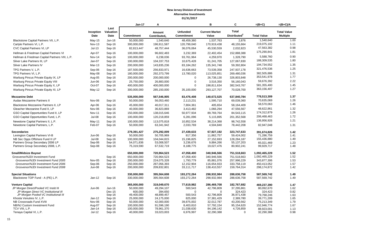|                                                                            |                         |                           | <b>Jan-17</b>             | Α                                  |                                      | в                              | C                                        | $=(B+C)$                 | $=(B+C)/A$                            |
|----------------------------------------------------------------------------|-------------------------|---------------------------|---------------------------|------------------------------------|--------------------------------------|--------------------------------|------------------------------------------|--------------------------|---------------------------------------|
|                                                                            | Inception<br>Date       | Last<br>Valuation<br>Date | <b>Commitment</b>         | Amount<br>Contributed <sub>1</sub> | <b>Unfunded</b><br><b>Commitment</b> | <b>Current Market</b><br>Value | <b>Total</b><br>Distributed <sup>2</sup> | <b>Total Value</b>       | <b>Total Value</b><br><b>Multiple</b> |
| Blackstone Capital Partners VII, L.P.                                      | $May-15$                | Jun-16                    | 50,000,000                | 1,540,640                          | 48,459,360                           | 1,537,763                      | 2,876                                    | 1,540,640                | 1.00                                  |
| Carlyle Partners VI, L.P.                                                  | <b>Nov-13</b>           | Sep-16                    | 300,000,000               | 196,911,587                        | 120,799,040                          | 170,919,438                    | 48,155,664                               | 219,075,102              | 1.11                                  |
| CVC Capital Partners VI, LP                                                | $Jul-13$                | Sep-16                    | 82,813,447                | 48,757,444                         | 36,076,064                           | 45,530,559                     | 2,032,823                                | 47,563,382               | 0.98                                  |
| Hellman & Friedman Capital Partners VI                                     | Apr-07                  | Sep-16                    | 100,000,000               | 96,602,483                         | 3,232,369                            | 22,402,454                     | 152,888,388                              | 175,290,841              | 1.81                                  |
| Hellman & Friedman Capital Partners VIII, L.P.                             | Nov-14                  | Sep-16                    | 100,000,000               | 6,238,036                          | 93,761,964                           | 4,259,970                      | 1,328,790                                | 5,588,760                | 0.90                                  |
| Silver Lake Partners III. LP                                               | Jan-07                  | Sep-16                    | 100,000,000               | 104,337,753                        | 10,675,428                           | 61,241,705                     | 127,067,830                              | 188,309,535              | 1.80                                  |
| Silver Lake Partners IV                                                    | $Mar-13$                | Sep-16                    | 200,000,000               | 143,835,236                        | 83,184,262                           | 135,341,748                    | 59,392,804                               | 194,734,552              | 1.35                                  |
| TPG Partners V, L.P.                                                       | Sep-06                  | Sep-16                    | 187,500,000               | 256,833,971                        | 16,636,663                           | 73,539,358                     | 247,937,178                              | 321,476,536              | 1.25                                  |
| TPG Partners VI, L.P.                                                      | May-08                  | Sep-16                    | 180,000,000               | 292,373,799                        | 13,780,020                           | 113,025,851                    | 269,480,036                              | 382,505,886              | 1.31                                  |
|                                                                            |                         |                           |                           | 200,000,000                        | $\overline{0}$                       | 26,738,130                     | 326,803,848                              | 353,541,978              | 1.77                                  |
| Warburg Pincus Private Equity IX, LP                                       | Aug-05                  | Sep-16                    | 200,000,000               |                                    | 0                                    |                                |                                          | 59,676,392               | 2.22                                  |
| Warburg Pincus Private Equity VIII<br>Warburg Pincus Private Equity X, LP  | Jun-06<br>Oct-07        | Sep-16<br>Sep-16          | 25,750,000<br>400,000,000 | 26,883,000<br>400,000,000          | $\overline{0}$                       | 3,516,350<br>198,811,634       | 56,160,043<br>382,543,767                | 581,355,400              | 1.45                                  |
| Warburg Pincus Private Equity XI, LP                                       | $May-12$                |                           | 300,000,000               | 285,150,000                        | 35,100,000                           | 293,127,707                    | 70,028,700                               | 363,156,407              | 1.27                                  |
|                                                                            |                         | Sep-16                    |                           |                                    |                                      |                                |                                          |                          |                                       |
| <b>Mezzanine Debt</b>                                                      |                         |                           | 535,000,000               | 567,546,905                        | 83,476,408                           | 140,672,525                    | 637,840,784                              | 778,513,309              | 1.37                                  |
| Audax Mezzanine Partners II                                                | Nov-06                  | Sep-16                    | 50,000,000                | 56,053,460                         | 2,113,231                            | 1,595,710                      | 69,039,360                               | 70,635,069               | 1.26                                  |
| Blackstone Mezzanine Partners II, LP                                       | Apr-06                  | Sep-16                    | 45,000,000                | 40,017,311                         | 7,804,361                            | 405,654                        | 58,164,409                               | 58,570,063               | 1.46                                  |
| Gleacher Mezzanine Fund II, LP                                             | Nov-06                  | Sep-16                    | 40,000,000                | 36,823,869                         | 3,413,482                            | 1,066,294                      | 47,556,567                               | 48,622,861               | 1.32                                  |
| GSO Capital Opportunities Fund II, LP                                      | <b>Nov-11</b>           | Sep-16                    | 150,000,000               | 138,015,646                        | 50,977,934                           | 89,769,764                     | 84,543,115                               | 174,312,879              | 1.26                                  |
| GSO Capital Opportunities Fund, L.P.                                       | $Jul-08$                | Sep-16                    | 100,000,000               | 120,218,859                        | 6,281,096                            | 5,115,895                      | 201,352,568                              | 206,468,463              | 1.72                                  |
| Newstone Capital Partners II, L.P.                                         | May-11                  | Sep-16                    | 100.000.000               | 113,075,818                        | 10,852,534                           | 38,214,368                     | 98.742.558                               | 136,956,926              | 1.21                                  |
| Newstone Capital Partners, L.P.                                            | Feb-07                  | Sep-16                    | 50,000,000                | 63,341,942                         | 2,033,769                            | 4,504,840                      | 78,442,208                               | 82,947,048               | 1.31                                  |
| <b>Secondaries</b>                                                         |                         |                           | 279,391,427               | 275,292,009                        | 27,439,633                           | 67,927,192                     | 323,747,633                              | 391,674,826              | 1.42                                  |
| Lexington Capital Partners VI-B                                            | Jun-06                  | Sep-16                    | 50,000,000                | 50,705,969                         | 817,356                              | 11,862,757                     | 59,424,002                               | 71,286,759               | 1.41                                  |
| NB Sec Opps Offshore Fund II LP                                            | <b>Jul-08</b>           | Sep-16                    | 100,000,000               | 104,044,815                        | 15,196,825                           | 27,152,693                     | 128,284,187                              | 155,436,880              | 1.49                                  |
| Partners Group Secondary 2006 LP                                           | Sep-06                  | Sep-16                    | 54,071,836                | 53,008,507                         | 3,236,676                            | 9,884,266                      | 55,137,203                               | 65,021,469               | 1.23                                  |
| Partners Group Secondary 2008, L.P.                                        | Sep-08                  | Sep-16                    | 75,319,590                | 67,532,719                         | 8,188,775                            | 19,027,476                     | 80,902,241                               | 99,929,717               | 1.48                                  |
| <b>Small/Midsize Buyout</b>                                                |                         |                           | 650,000,000               | 720,964,523                        | 47,058,400                           | 340,946,566                    | 751,518,663                              | 1,092,465,229            | 1.52                                  |
| Grosvenor/NJDI Investment Fund                                             |                         | Sep-16                    | 650,000,000               | 720.964.523                        | 47,058,400                           | 340.946.566                    | 751.518.663                              | 1,092,465,229            | 1.52                                  |
| Grosvenor/NJDI Investment Fund 2005                                        | Nov-05                  | Sep-16                    | 200,000,000               | 224,075,328                        | 1,793,779                            | 85,881,076                     | 257,996,229                              | 343,877,306              | 1.53                                  |
| Grosvenor/NJDI Investment Fund 2006<br>Grosvenor/NJDI Investment Fund 2008 | Sep-06<br><b>Jun-08</b> | Sep-16                    | 250,000,000               | 287,056,393                        | 12,152,904                           | 116,654,933                    | 333,758,119                              | 450,413,052              | 1.57                                  |
|                                                                            |                         | Sep-16                    | 200,000,000               | 209,832,801                        | 33,111,717                           | 138,410,557                    | 159,764,314                              | 298,174,872              | 1.42                                  |
| <b>Special Situations</b>                                                  |                         |                           | 330,000,000               | 395,564,608                        | 193,272,264                          | 298,932,984                    | 288,636,758                              | 587,569,742              | 1.49                                  |
| Blackstone TOP Fund - A (PE) L.P.                                          | Jan-12                  | Sep-16                    | 330,000,000               | 395,564,608                        | 193,272,264                          | 298,932,984                    | 288,636,758                              | 587,569,742              | 1.49                                  |
| <b>Venture Capital</b>                                                     |                         |                           | 365,000,000               | 319,049,670                        | 77,619,982                           | 286,469,708                    | 182,767,682                              | 469,237,390              | 1.47                                  |
| JP Morgan Direct/Pooled VC Instit III                                      | Jun-06                  | Jun-16                    | 50,000,000                | 49,294,107                         | 500,543                              | 42,796,809                     | 37,295,861                               | 80,092,670               | 1.62                                  |
| JP Morgan Direct VC Institutional III                                      |                         | Dec-15                    | 600,000                   | 394,650                            | $\Omega$                             | $\Omega$                       | 324,423                                  | 324,423                  | 0.82                                  |
| JP Morgan Pooled VC Institutional III<br>Khosla Venutres IV, L.P.          | $Jan-12$                | Sep-16<br>Sep-16          | 49,400,000<br>25,000,000  | 48,899,457<br>24,175,000           | 500,543<br>825,000                   | 42,796,809<br>37,381,429       | 36,971,438<br>2,389,780                  | 79,768,246<br>39,771,209 | 1.63<br>1.65                          |
| NB Crossroads Fund XVIII                                                   | Nov-06                  | Sep-16                    | 50,000,000                | 42,000,000                         | 39,875,002                           | 32,012,787                     | 43,200,562                               | 75,213,349               | 1.79                                  |
| NB/NJ Custom Investment Fund                                               | Aug-07                  | Sep-16                    | 100,000,000               | 91,596,190                         | 8,403,810                            | 57,792,154                     | 95,154,620                               | 152,946,774              | 1.67                                  |
| TCV VIII, L.P.                                                             | Jan-14                  | Sep-16                    | 100,000,000               | 78,961,370                         | 21,038,630                           | 84,196,142                     | 4,726,859                                | 88,923,001               | 1.13                                  |
| Tenaya Capital VI, L.P.                                                    | $Jul-12$                | Sep-16                    | 40,000,000                | 33,023,003                         | 6,976,997                            | 32,290,388                     | $\mathbf 0$                              | 32,290,388               | 0.98                                  |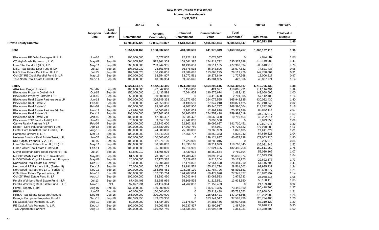|                                                                                    |                          |                           | <b>Jan-17</b>              | А                                  |                                      | в                              | C                                        | =(B+C)                   | $=(B+C)/A$                            |
|------------------------------------------------------------------------------------|--------------------------|---------------------------|----------------------------|------------------------------------|--------------------------------------|--------------------------------|------------------------------------------|--------------------------|---------------------------------------|
|                                                                                    | Inception<br><b>Date</b> | Last<br>Valuation<br>Date | <b>Commitment</b>          | Amount<br>Contributed <sub>1</sub> | <b>Unfunded</b><br><b>Commitment</b> | <b>Current Market</b><br>Value | <b>Total</b><br>Distributed <sup>2</sup> | <b>Total Value</b>       | <b>Total Value</b><br><b>Multiple</b> |
| <b>Private Equity Subtotal</b>                                                     |                          |                           | 14,789,055,420             | 12,005,313,827                     | 4,513,458,408                        | 7,495,863,804                  | 9,884,659,547                            | 17,380,523,351           | 1.45                                  |
| Debt                                                                               |                          |                           | 1,554,568,160              | 1,158,032,652                      | 443,880,639                          | 441,973,349                    | 1,163,183,767                            | 1,605,157,116            | 1.39                                  |
| Blackstone RE Debt Strategies III, L.P.                                            | $Jun-16$                 | N/A                       | 100,000,000                | 7,077,807                          | 92,922,193                           | 7,074,587                      | 0                                        | 7,074,587                | 1.00                                  |
| CT High Grade Partners II, LLC                                                     | May-08                   | Sep-16                    | 664,065,200                | 572,861,303                        | 108,661,385                          | 174,811,792                    | 635,337,288                              | 810,149,080              | 1.41                                  |
| Lone Star Fund VII (U.S.) LP                                                       | May-11                   | Sep-16                    | 300,000,000                | 283,944,335                        | 18,490,651                           | 28,511,185                     | 477,998,834                              | 506,510,019              | 1.78                                  |
| M&G Real Estate Debt Fund II, LP                                                   | $Jul-13$                 | Sep-16                    | 107,982,932                | 78,661,045                         | 36,878,515                           | 56,243,806                     | 18,577,632                               | 74,821,438               | 0.95                                  |
| M&G Real Estate Debt Fund III, LP                                                  | $Jul-13$                 | Sep-16                    | 182,520,028                | 156,799,001                        | 43,889,687                           | 113,668,225                    | 29,119,779                               | 142,788,004              | 0.91                                  |
| Och-Ziff RE Credit Parallel Fund B, L.P                                            | May-16                   | Sep-16                    | 100,000,000                | 18,654,807                         | 83,072,561                           | 16,278,849                     | 1,727,368                                | 18,006,217               | 0.97                                  |
| True North Real Estate Fund III, LP                                                | Sep-14                   | Sep-16                    | 100,000,000                | 40,034,354                         | 59,965,646                           | 45,384,905                     | 422,866                                  | 45,807,771               | 1.14                                  |
| <b>Equity</b>                                                                      |                          |                           | 5,527,674,773              | 4,142,342,456                      | 1,974,980,183                        | 2,854,296,615                  | 2,856,498,817                            | 5,710,795,432            | 1.38                                  |
| ARA Asia Dragon Limited                                                            | Sep-07                   | Sep-16                    | 100,000,000                | 92,842,000                         | 7,158,000                            | 424,927                        | 118,865,731                              | 119,290,658              | 1.28                                  |
| Blackstone Property Global - NJ                                                    | Oct-15                   | Sep-16                    | 150,000,000                | 142,435,598                        | 7,564,402                            | 140,575,674                    | 1,482,422                                | 142,058,096              | 1.00                                  |
| Blackstone Property Partners L.P.                                                  | $Jun-15$                 | Sep-16                    | 50,000,000                 | 50,000,000                         | 0                                    | 54,410,600                     | 2,701,805                                | 57,112,405               | 1.14                                  |
| Blackstone Real Estate Partners Asia LP                                            | $Jun-13$                 | Sep-16                    | 500,000,000                | 306,849,338                        | 301,273,050                          | 264,079,595                    | 165,942,835                              | 430,022,430              | 1.40                                  |
| <b>Blackstone Real Estate V</b>                                                    | Feb-06                   | Sep-16                    | 75,000,000                 | 78,353,336                         | 3,130,539                            | 27,347,218                     | 130,871,125                              | 158,218,343              | 2.02                                  |
| <b>Blackstone Real Estate VI</b>                                                   | Feb-07                   | Sep-16                    | 100,000,000                | 99,401,438                         | 4,907,906                            | 45,846,797                     | 168,396,004                              | 214,242,800              | 2.16                                  |
| Blackstone Real Estate Partners VI, Sec                                            | <b>Nov-11</b>            | Sep-16                    | 43,624,688                 | 40,000,081                         | 2,141,059                            | 12,492,828                     | 70,379,286                               | 82,872,114               | 2.07                                  |
| <b>Blackstone Real Estate VII</b>                                                  | Dec-11                   | Sep-16                    | 300,000,000                | 337,302,902                        | 50,160,567                           | 274,757,498                    | 259,998,519                              | 534.756.017              | 1.59                                  |
| <b>Blackstone Real Estate VIII</b>                                                 | $Jan-15$                 | Sep-16                    | 100,000,000                | 42,006,437                         | 66,834,472                           | 38,563,350                     | 10,719,464                               | 49,282,814               | 1.17                                  |
| Blackstone TOP Fund - A (RE) L.P.                                                  | Jan-15                   | Sep-16                    | 75,000,000                 | 3,557,168                          | 71,442,832                           | 3,893,558                      | $\mathbf 0$                              | 3,893,558                | 1.09                                  |
| Carlyle Realty Partners V LP                                                       | Feb-07                   | Sep-16                    | 100,000,000                | 122,742,600                        | 22,102,319                           | 29,096,627                     | 141,710,451                              | 170.807.078              | 1.39                                  |
| Exeter - Core Industrial Venture Fund<br>Exeter Core Industrial Club Fund II, L.P. | Apr-12<br>Aug-16         | Sep-16<br>Sep-16          | 200,000,000<br>100,000,000 | 182,630,250<br>24,500,000          | 17,369,750<br>75,500,000             | 544,061<br>23,768,969          | 276,726,522<br>1,042,105                 | 277,270,583              | 1.52                                  |
|                                                                                    |                          |                           |                            |                                    |                                      |                                |                                          | 24,811,074<br>64,680,625 | 1.01<br>1.04                          |
| Hammes Partners II, L.P.                                                           | Mar-14                   | Sep-16                    | 100,000,000<br>100,000,000 | 62,343,203                         | 37,656,797<br>$\mathbf 0$            | 58,852,383                     | 5,828,242<br>40,478,338                  | 179,603,225              | 1.80                                  |
| Heitman America Real Estate Trust, L.P.                                            | Jan-07                   | Sep-16                    |                            | 100,000,000                        |                                      | 139,124,887                    |                                          |                          |                                       |
| KSL Capital Partners IV-A, L.P.                                                    | Jul-15                   | Sep-16                    | 100,000,000                | 12,276,100                         | 87,723,900                           | 10,285,015                     | $\mathbf 0$                              | 10,285,015               | 0.84                                  |
| Lone Star Real Estate Fund II (U.S.) LP                                            | May-11                   | Sep-16                    | 100,000,000                | 88,609,832                         | 11,390,168                           | 16,314,999                     | 118,766,845                              | 135,081,845              | 1.52                                  |
| Lubert Adler Real Estate Fund VI-B                                                 | Feb-11                   | Sep-16                    | 100,000,000                | 95,000,000                         | 16,614,909                           | 37,024,495                     | 132,486,758                              | 169,511,252              | 1.78                                  |
| Meyer Bergman Euro Retail Partners II-TE                                           | Jul-14                   | Sep-16                    | 58,845,010                 | 54,405,076                         | 4,439,934                            | 48,260,664                     | 9,769,504                                | 58,030,169               | 1.07                                  |
| NJDOI/GMAM Core Plus RE Investment                                                 | May-08                   | Sep-16                    | 81,500,000                 | 70,582,173                         | 19,788,473                           | 19,896,264                     | 95,636,974                               | 115,533,237              | 1.64                                  |
| NJDOI/GMAM Opp RE Investment Program                                               | May-08                   | Sep-16                    | 25,000,000                 | 17,170,335                         | 7,829,665                            | 9,518,204                      | 20,173,973                               | 29,692,177               | 1.73                                  |
| Northwood Real Estate Co-Invest                                                    | Dec-12                   | Sep-16                    | 75,000,000                 | 36,305,318                         | 67,175,892                           | 22,664,498                     | 28,481,210                               | 51,145,708               | 1.41                                  |
| Northwood RE Partners L.P., (Series III)                                           | $Dec-12$                 | Sep-16                    | 75.000.000                 | 70,371,153                         | 33,181,574                           | 65,424,734                     | 28,561,003                               | 93,985,737               | 1.34                                  |
| Northwood RE Partners L.P., (Series IV)                                            | Nov-13                   | Sep-16                    | 200,000,000                | 163,806,451                        | 103,086,130                          | 131,787,796                    | 66,892,581                               | 198,680,377              | 1.21                                  |
| OZNJ Real Estate Opportunities, LP                                                 | Mar-13                   | Dec-16                    | 200,000,000                | 102,635,764                        | 124,707,064                          | 89,479,970                     | 27,342,827                               | 116,822,797              | 1.14                                  |
| Och-Ziff Real Estate Fund III, LP                                                  | Aug-14                   | Sep-16                    | 100,000,000                | 33,382,450                         | 69,043,949                           | 33,068,583                     | 2,979,733                                | 36,048,316               | 1.08                                  |
| Perella Weinberg Real Estate Fund II LP                                            | $Jul-13$                 | Sep-16                    | 87,498,495                 | 52,388,959                         | 35,109,535                           | 41,216,561                     | 13,933,550                               | 55,150,110               | 1.05                                  |
| Perella Weinberg Real Estate Fund III LP                                           | <b>Nov-15</b>            | N/A                       | 97,877,231                 | 23,114,394                         | 74,762,837                           | 21,159,483                     | $\mathbf 0$                              | 21,159,483               | 0.92                                  |
| <b>Prime Property Fund</b>                                                         | Aug-07                   | Dec-16                    | 130,000,000                | 150,000,000                        | 0                                    | 116,973,356                    | 73,445,510                               | 190,418,865              | 1.27                                  |
| PRISA II                                                                           | Jun-07                   | Dec-16                    | 60,000,000                 | 100,000,000                        | $\mathbf 0$                          | 65,219,488                     | 55,738,553                               | 120,958,040              | 1.21                                  |
| PRISA Real Estate Separate Account                                                 | Dec-06                   | Dec-16                    | 265,000,000                | 300,000,000                        | $\Omega$                             | 226,055,421                    | 147,146,668                              | 373,202,089              | 1.24                                  |
| Prologis European Properties Fund II                                               | $Sep-13$                 | Sep-16                    | 183,329,350                | 183,329,350                        | $\mathbf 0$                          | 183, 141, 547                  | 37,592,939                               | 220,734,486              | 1.20                                  |
| RE Capital Asia Partners III, L.P.                                                 | Aug-12                   | Sep-16                    | 80,000,000                 | 64,434,380                         | 21,175,507                           | 24,381,466                     | 58,937,655                               | 83,319,122               | 1.29                                  |
| RE Capital Asia Partners IV, L.P.                                                  | Dec-14                   | Sep-16                    | 100,000,000                | 39,062,563                         | 60,937,437                           | 33,490,917                     | 1,487,794                                | 34,978,711               | 0.90                                  |
| <b>TGM Apartment Partners</b>                                                      | Aug-15                   | Sep-16                    | 300,000,000                | 116,464,740                        | 183,535,260                          | 114,996,469                    | 1,364,031                                | 116,360,500              | 1.00                                  |
|                                                                                    |                          |                           |                            |                                    |                                      |                                |                                          |                          |                                       |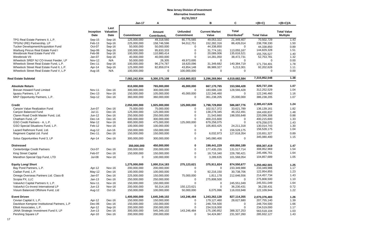|                                                                                 |                          |                           | $Jan-17$                   | A                                  |                                      | B                              | C.                                       | $=(B+C)$                     | $=(B+C)/A$                            |
|---------------------------------------------------------------------------------|--------------------------|---------------------------|----------------------------|------------------------------------|--------------------------------------|--------------------------------|------------------------------------------|------------------------------|---------------------------------------|
|                                                                                 | Inception<br><b>Date</b> | Last<br>Valuation<br>Date | <b>Commitment</b>          | Amount<br>Contributed <sub>1</sub> | <b>Unfunded</b><br><b>Commitment</b> | <b>Current Market</b><br>Value | <b>Total</b><br>Distributed <sup>2</sup> | <b>Total Value</b>           | <b>Total Value</b><br><b>Multiple</b> |
| TPG Real Estate Partners II, L.P.                                               | Sep-15                   | Sep-16                    | 125,000,000                | 49,318,560                         | 80,775,565                           | 49,053,322                     | 21,449,407                               | 70,502,729                   | 1.43                                  |
| TPG/NJ (RE) Partnership, LP                                                     | Feb-13                   | Sep-16                    | 225,000,000                | 158,746,596                        | 94,012,751                           | 152,282,316                    | 86,426,014                               | 238,708,330                  | 1.50                                  |
| Tucker Development/Acquisition Fund                                             | Oct-07                   | Sep-16                    | 50,000,000                 | 50,000,000                         | $\Omega$                             | 44,338,850                     | $\mathbf 0$                              | 44,338,850                   | 0.89                                  |
| Warburg Pincus Real Estate Fund I                                               | Sep-06                   | Sep-16                    | 100,000,000                | 95,833,333                         | $\Omega$                             | 31,774,161                     | 113,055,167                              | 144,829,328                  | 1.51                                  |
| Westbrook Real Estate Fund VIII                                                 | Feb-08                   | Sep-16                    | 100,000,000                | 110,980,414                        | $\Omega$                             | 20,089,006                     | 135,616,521                              | 155.705.527                  | 1.40                                  |
| Westbrook VII                                                                   | Jan-07                   | Sep-16<br>N/A             | 40,000,000                 | 40,000,000                         | $\Omega$<br>49.973.695               | 14,281,050<br>$\Omega$         | 38,472,731<br>$\Omega$                   | 52,753,781<br>$\Omega$       | 1.32<br>0.00                          |
| Wheelock SREF NJ CO-Invest Feeder, LP<br>Wheelock Street Real Estate Fund, L.P. | <b>Nov-12</b>            |                           | 50,000,000                 | 26,305<br>96,274,787               | 18,620,096                           |                                | 140,384,719                              |                              | 1.78                                  |
| Wheelock Street Real Estate Fund II, L.P.                                       | Dec-11<br>Apr-14         | Sep-16<br>Sep-16          | 100,000,000<br>125,000,000 | 82,859,074                         | 43,854,148                           | 31,349,682<br>86,989,327       | 5,213,301                                | 171,734,401<br>92,202,628    | 1.11                                  |
| Wheelock Street Real Estate Fund V, L.P                                         | Aug-16                   | N/A                       | 100,000,000                | 0                                  | 100,000,000                          | $\mathbf 0$                    | $\mathbf 0$                              | $\mathbf 0$                  | 0.00                                  |
|                                                                                 |                          |                           |                            |                                    |                                      |                                |                                          |                              |                                       |
| <b>Real Estate Subtotal</b>                                                     |                          |                           | 7,082,242,934              | 5,300,375,108                      | 2,418,860,822                        | 3,296,269,964                  | 4.019.682.584                            | 7,315,952,548                | 1.38                                  |
| <b>Absolute Return</b>                                                          |                          |                           | 810,000,000                | 765,000,000                        | 45,000,000                           | 667,170,765                    | 153,566,428                              | 820,737,194                  | 1.07                                  |
| Brevan Howard Fund Limited                                                      | <b>Nov-11</b>            | Dec-16                    | 300,000,000                | 300,000,000                        | $\Omega$                             | 183,686,100                    | 128,566,428                              | 312,252,529                  | 1.04                                  |
| Iquazu Partners, L.P.                                                           | $Dec-13$                 | <b>Nov-16</b>             | 150,000,000                | 105,000,000                        | 45,000,000                           | 122,246,460                    | $\Omega$                                 | 122,246,460                  | 1.16                                  |
| MKP Opportunity Partners, L.P.                                                  | Sep-12                   | Dec-16                    | 360,000,000                | 360,000,000                        | $\Omega$                             | 361,238,205                    | 25,000,000                               | 386,238,205                  | 1.07                                  |
| <b>Credit</b>                                                                   |                          |                           | 2,050,000,000              | 1,925,000,000                      | 125,000,000                          | 1,798,729,850                  | 586,687,776                              | 2,385,417,626                | 1.24                                  |
| Canyon Value Realization Fund                                                   | <b>Jun-07</b>            | Dec-16                    | 75,000,000                 | 75,000,000                         | $\Omega$                             | 102,517,372                    | 33,621,789                               | 136,139,161                  | 1.82                                  |
| Canyon Balanced Fund                                                            | $Jul-11$                 | Dec-16                    | 125,000,000                | 125,000,000                        | $\mathbf 0$                          | 138,278,345                    | 46,152,491                               | 184,430,837                  | 1.48                                  |
| Claren Road Credit Master Fund, Ltd.                                            | $Jun-12$                 | Dec-16                    | 250,000,000                | 250.000.000                        | $\mathbf 0$                          | 21,543,660                     | 198,555,648                              | 220.099.308                  | 0.88                                  |
| Chatham Fund, LP                                                                | Dec-14                   | Dec-16                    | 300,000,000                | 300,000,000                        | $\Omega$                             | 400,215,600                    | $\mathbf 0$                              | 400,215,600                  | 1.33                                  |
| GSO Credit Partners - A, L.P.                                                   | Mar-12                   | <b>Nov-16</b>             | 600,000,000                | 475,000,000                        | 125,000,000                          | 679,258,075                    | $\mathbf 0$                              | 679,258,075                  | 1.43                                  |
| GSO Special Situations Fund, L.P.                                               | Feb-12                   | Nov-16                    | 100,000,000                | 100,000,000                        | $\mathbf 0$                          | 105,803,425                    | 24,211,318                               | 130,014,743                  | 1.30                                  |
| Lazard Rathmore Fund, Ltd.                                                      | Aug-12                   | Jun-16                    | 150,000,000                | 150,000,000                        | 0                                    | $\mathbf 0$                    | 156,528,175                              | 156,528,175                  | 1.04                                  |
| Regiment Capital Ltd. Fund                                                      | Dec-11                   | Dec-16                    | 150,000,000                | 150,000,000                        | 0                                    | 6,032,973                      | 127,618,354                              | 133,651,327                  | 0.89                                  |
| Solus Opportunities Fund 3, LP                                                  | Apr-14                   | Dec-16                    | 300,000,000                | 300,000,000                        | $\mathbf 0$                          | 345,080,400                    | $\Omega$                                 | 345,080,400                  | 1.15                                  |
| <b>Distressed</b>                                                               |                          |                           | 350,000,000                | 450,000,000                        | 0                                    | 199,441,229                    | 459,866,189                              | 659.307.419                  | 1.47                                  |
| Centerbridge Credit Partners                                                    | Oct-07                   | Dec-16                    | 200,000,000                | 200,000,000                        | 0                                    | 177,435,255                    | 131,517,714                              | 308,952,969                  | 1.54                                  |
| <b>King Street Capital</b>                                                      | Feb-07                   | Dec-16                    | 150,000,000                | 150,000,000                        | $\mathbf 0$                          | 18,716,340                     | 226,780,421                              | 245,496,761                  | 1.64                                  |
| Marathon Special Opp Fund, LTD                                                  | <b>Jul-08</b>            | <b>Nov-16</b>             | $\mathbf 0$                | 100,000,000                        | $\mathbf 0$                          | 3,289,635                      | 101,568,054                              | 104,857,689                  | 1.05                                  |
|                                                                                 |                          |                           |                            |                                    |                                      |                                |                                          |                              |                                       |
| <b>Equity Long/ Short</b>                                                       |                          |                           | 1,275,000,000              | 1,000,314,183                      | 275,123,621<br>$\mathbf 0$           | 375,911,824<br>$\Omega$        | 874,550,677                              | 1,250,462,501<br>233.349.988 | 1.25<br>1.17                          |
| Bay Pond Partners, L.P.                                                         | Apr-12                   | <b>Nov-16</b>             | 200,000,000                | 200,000,000                        | $\Omega$                             |                                | 233,349,988                              | 122,954,855                  | 1.23                                  |
| Cadian Fund, L.P.                                                               | $May-12$                 | Dec-16                    | 100,000,000                | 100,000,000                        |                                      | 92,216,150                     | 30.738.706                               | 214,457,734                  | 1.43                                  |
| Omega Overseas Partners Ltd. Class-B                                            | Jan-07                   | Dec-16                    | 225,000,000                | 150,000,000                        | 75,000,000<br>$\overline{0}$         | 1,811,178                      | 212,646,556                              | 275,808,500                  | 1.10                                  |
| Scopia PX, LLC                                                                  | $Jan-13$                 | Dec-16                    | 250,000,000                | 250,000,000                        | $\Omega$                             | 275,808,500                    | $\Omega$                                 | 245,551,049                  | 1.64                                  |
| ValueAct Capital Partners II, L.P.                                              | <b>Nov-11</b>            | <b>Nov-16</b>             | 150,000,000                | 150,000,000                        |                                      | $\mathbf 0$<br>$\mathbf 0$     | 245,551,049                              |                              |                                       |
| ValueAct Co-Invest International LP<br>Visium Balanced Offshore Fund, Ltd       | $Jun-13$<br>Aug-12       | <b>Nov-16</b><br>Oct-16   | 200,000,000<br>150,000,000 | 50,314,183<br>100,000,000          | 150,123,621<br>50,000,000            | 6,075,996                      | 36,230,431<br>116,033,948                | 36,230,431<br>122,109,944    | 0.72<br>1.22                          |
|                                                                                 |                          |                           |                            |                                    |                                      |                                |                                          |                              |                                       |
| <b>Event Driven</b>                                                             |                          |                           | 1,400,000,000              | 1,645,349,102                      | 143,246,484                          | 1,243,262,128                  | 827,114,355                              | 2,070,376,483                | 1.26                                  |
| Cevian Capital II, L.P.                                                         | Apr-12                   | Dec-16                    | 150,000,000                | 150,000,000                        | $\Omega$                             | 179,127,460                    | 28,627,680                               | 207,755,140                  | 1.39                                  |
| Davidson Kempner Institutional Partners, L.P<br>Elliott Associates, L.P.        | Dec-06                   | $Dec-16$                  | 150,000,000                | 150,000,000<br>200,000,000         | $\Omega$<br>$\mathbf 0$              | 248,704,500                    | $\mathbf 0$<br>0                         | 248,704,500                  | 1.66<br>1.17                          |
| JANA Strategic Investment Fund II, LP                                           | Apr-12<br>$Jun-13$       | Sep-16<br>Dec-16          | 200,000,000<br>300,000,000 | 545,349,102                        | 143,246,484                          | 234,519,000<br>175,190,852     | 388,327,253                              | 234,519,000<br>563,518,104   | 1.03                                  |
| Pershing Square LP                                                              | Apr-10                   | Dec-16                    | 200,000,000                | 200,000,000                        | $\Omega$                             | 54,424,867                     | 231,507,260                              | 285,932,127                  | 1.43                                  |
|                                                                                 |                          |                           |                            |                                    |                                      |                                |                                          |                              |                                       |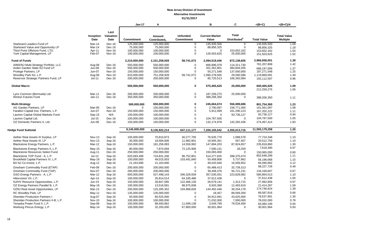|                                         |               |               | $Jan-17$          | A                        |                   | B                     | C                        | =(B+C)             | $=(B+C)/A$         |
|-----------------------------------------|---------------|---------------|-------------------|--------------------------|-------------------|-----------------------|--------------------------|--------------------|--------------------|
|                                         |               |               |                   |                          |                   |                       |                          |                    |                    |
|                                         |               | Last          |                   |                          |                   |                       |                          |                    |                    |
|                                         | Inception     | Valuation     |                   | Amount                   | <b>Unfunded</b>   | <b>Current Market</b> | <b>Total</b>             |                    | <b>Total Value</b> |
|                                         | Date          | Date          | <b>Commitment</b> | Contributed <sub>1</sub> | <b>Commitment</b> | Value                 | Distributed <sup>2</sup> | <b>Total Value</b> | <b>Multiple</b>    |
| Starboard Leaders Fund LP               | Mar-14        | Dec-16        | 125,000,000       | 125,000,000              | $\mathbf 0$       | 135,935,500           | $\mathbf 0$              | 135,935,500        | 1.09               |
| Starboard Value and Opportunity LP      | Mar-14        | Dec-16        | 75,000,000        | 75,000,000               | 0                 | 88,856,325            | $\Omega$                 | 88,856,325         | 1.18               |
| Third Point Offshore Fund, LTD.         | Apr-11        | <b>Nov-16</b> | 100,000,000       | 100,000,000              | $\overline{0}$    | 0                     | 153,652,162              | 153,652,162        | 1.54               |
| York Capital Management, LP             | Feb-07        | <b>Nov-16</b> | 100,000,000       | 100,000,000              | $\overline{0}$    | 126,503,625           | 25,000,000               | 151,503,625        | 1.52               |
| <b>Fund of Funds</b>                    |               |               | 2,210,000,000     | 2,151,258,928            | 58,741,072        | 2,094,519,446         | 872,138,605              | 2,966,658,051      | 1.38               |
| AIMS/NJ Multi-Strategy Portfolio, LLC   | Aug-06        | Dec-16        | 550.000.000       | 550,000,000              | $\Omega$          | 666.896.078           | 114.311.730              | 781,207,808        | 1.42               |
| Arden Garden State NJ Fund LP.          | Jun-06        | Dec-16        | 500,000,000       | 500,000,000              | $\mathbf 0$       | 201,352,801           | 484,844,205              | 686,197,006        | 1.37               |
| Protege Partners, LP                    | Jun-07        | <b>Nov-16</b> | 150,000,000       | 150,000,000              | $\Omega$          | 50,271,548            | 137,000,000              | 187,271,548        | 1.25               |
| Woodley Park NJ, L.P.                   | Aug-06        | <b>Nov-16</b> | 810,000,000       | 751,258,928              | 58,741,072        | 1,090,278,505         | 29,590,586               | 1,119,869,091      | 1.49               |
| Reservoir Strategic Partners Fund, LP   | Jul-11        | Dec-16        | 200,000,000       | 200,000,000              | 0                 | 85,720,513            | 106,392,084              | 192,112,597        | 0.96               |
| <b>Global Macro</b>                     |               |               | 550,000,000       | 550,000,000              | 0                 | 575,465,625           | 25,000,000               | 600,465,625        | 1.09               |
|                                         |               |               |                   |                          |                   |                       |                          | 212,259,275        | 1.06               |
| Lynx Common (Bermuda) Ltd.              | Mar-11        | Dec-16        | 200,000,000       | 200,000,000              | 0                 | 187,259,275           | 25,000,000               |                    |                    |
| Winton Futures Fund                     | Jan-11        | Dec-16        | 350,000,000       | 350,000,000              | 0                 | 388,206,350           | 0                        | 388,206,350        | 1.11               |
|                                         |               |               |                   |                          |                   |                       |                          |                    |                    |
| <b>Multi-Strategy</b>                   |               |               | 500,000,000       | 650,000,000              | 0                 | 245,664,674           | 556,089,686              | 801,754,360        | 1.23               |
| AG Garden Partners, LP                  | Mar-06        | $Dec-16$      | $\Omega$          | 150,000,000              | 0                 | 2,790,097             | 158,771,000              | 161,561,097        | 1.08               |
| Farallon Capital Inst. Partners, L.P.   | Jun-07        | <b>Nov-16</b> | 150,000,000       | 150,000,000              | 0                 | 5,912,099             | 161,290,123              | 167,202,222        | 1.11               |
| Laurion Capital Global Markets Fund     | $Sep-15$      | N/A           | 100,000,000       | 100,000,000              | $\Omega$          | $\Omega$              | 93,736,127               | 93,736,127         | 0.94               |
| Laurion Capital Ltd.                    | $Jul-15$      | Dec-16        | 100,000,000       | 100,000,000              | $\overline{0}$    | 104,787,500           | $\mathbf 0$              | 104,787,500        | 1.05               |
| OZ Domestic Partners II, Ltd.           | Jun-06        | Dec-16        | 150,000,000       | 150,000,000              | $\Omega$          | 132,174,978           | 142,292,436              | 274,467,414        | 1.83               |
| <b>Hedge Fund Subtotal</b>              |               |               | 9,145,000,000     | 9,136,922,214            | 647,111,177       | 7,200,165,542         | 4,355,013,716            | 11,555,179,258     | 1.26               |
|                                         |               |               |                   |                          |                   |                       |                          |                    |                    |
| Aether Real Assets III Surplus, LP      | <b>Nov-13</b> | Sep-16        | 100,000,000       | 70.810.873               | 30,277,705        | 76,635,770            | 1,088,578                | 77,724,348         | 1.10               |
| Aether Real Assets III, LP              | <b>Nov-13</b> | Sep-16        | 30,000,000        | 18,584,606               | 11,982,801        | 19,945,351            | 567,407                  | 20,512,758         | 1.10               |
| Blackstone Energy Partners, L.P.        | Mar-12        | Sep-16        | 150,000,000       | 181,256,083              | 14,559,992        | 147,894,203           | 87,924,657               | 235,818,860        | 1.30               |
| Blackstone Energy Partners II, L.P.     | $May-15$      | Sep-16        | 80,000,000        | 7,874,094                | 72,125,906        | 7,590,131             | 28,259                   | 7,618,390          | 0.97               |
| <b>Blackstone Resources Select Fund</b> | Aug-11        | Dec-16        | 250,000,000       | 250,000,000              | $\Omega$          | 150,065,000           | $\Omega$                 | 150,065,000        | 0.60               |
| Blackstone TOP Fund - A, L.P.           | $Jul-12$      | Sep-16        | 620,093,499       | 724,831,206              | 96,752,801        | 514,277,825           | 288,370,474              | 802,648,299        | 1.11               |
| Brookfield Capital Partners IV, L.P.    | $May-16$      | Sep-16        | 150,000,000       | 49,015,003               | 103,491,840       | 50,458,806            | 5,737,862                | 56,196,668         | 1.15               |
| BX NJ Co-Invest, L.P.                   | Aug-12        | Sep-16        | 21,163,690        | 21,163,690               | $\Omega$          | 49,520,940            | 16,569,952               | 66,090,892         | 3.12               |
| Gresham Commodity Fund (ETAP)           | Feb-08        | Dec-16        | 200,000,000       | 200,000,000              | $\Omega$          | 65,488,413            | 32,739,313               | 98,227,726         | 0.49               |
| Gresham Commodity Fund (TAP)            | Nov-07        | Dec-16        | 200,000,000       | 200,000,000              | $\Omega$          | 39,448,376            | 94,721,231               | 134,169,607        | 0.67               |
| GSO Energy Partners - A, L.P.           | Mar-12        | Sep-16        | 650,000,000       | 527,498,143              | 346,329,939       | 357,035,931           | 223,828,082              | 580,864,013        | 1.10               |
| Hitecvision VII, L.P.                   | Apr-14        | Sep-16        | 100,000,000       | 35,814,514               | 64,185,486        | 37,612,438            | $\Omega$                 | 37,612,438         | 1.05               |
| NJ/HV Resource Opportunities, L.P.      | Jun-15        | Sep-16        | 150,000,000       | 28,847,585               | 122,466,130       | 26,679,141            | 1,313,715                | 27,992,856         | 0.97               |
| OZ Energy Partners Parallel B, L.P.     | $May-16$      | Dec-16        | 100,000,000       | 13,518,081               | 98,975,838        | 8,920,368             | 12,493,919               | 21,414,287         | 1.58               |
| OZNJ Real Asset Opportunities, LP       | Mar-13        | Dec-16        | 200,000,000       | 125,285,352              | 104,968,826       | 144,492,446           | 30,254,178               | 174,746,624        | 1.39               |
| RC Woodley Park, LP                     | $May-11$      | <b>Nov-16</b> | 135,000,000       | 135,000,000              | $\Omega$          | 18,457                | 89,569,359               | 89,587,816         | 0.66               |
| <b>Sheridan Production Partners I</b>   | Aug-07        | Sep-16        | 50,000,000        | 60,525,000               | $\overline{0}$    | 34,912,991            | 43,625,000               | 78,537,991         | 1.30               |
| Sheridan Production Partners II-B, L.P  | <b>Nov-10</b> | Sep-16        | 100,000,000       | 100,000,000              | $\Omega$          | 71,032,000            | 7,000,000                | 78,032,000         | 0.78               |
| Tenaska Power Fund II, L.P.             | Sep-08        | Sep-16        | 100,000,000       | 88,400,862               | 11,599,138        | 3,549,799             | 79,534,400               | 83,084,199         | 0.94               |
| Warburg Pincus Energy, L.P.             | May-14        | Sep-16        | 100,000,000       | 32,200,000               | 67,800,000        | 30,001,964            | $\mathbf 0$              | 30,001,964         | 0.93               |
|                                         |               |               |                   |                          |                   |                       |                          |                    |                    |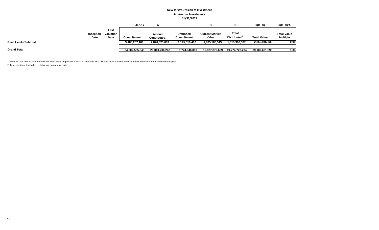|                             |                   |                           | <b>Jan-17</b>  |                                    |                               |                                |                                   | $=(B+C)$           | $=(B+C)/A$                            |
|-----------------------------|-------------------|---------------------------|----------------|------------------------------------|-------------------------------|--------------------------------|-----------------------------------|--------------------|---------------------------------------|
|                             | Inception<br>Date | Last<br>Valuation<br>Date | Commitment     | Amount<br>Contributed <sub>1</sub> | <b>Unfunded</b><br>Commitment | <b>Current Market</b><br>Value | Total<br>Distributed <sup>2</sup> | <b>Total Value</b> | <b>Total Value</b><br><b>Multiple</b> |
| <b>Real Assets Subtotal</b> |                   |                           | 3,486,257,189  | 2,870,625,093                      | 1,145,516,402                 | 1,835,580,349                  | 1,015,366,387                     | 2,850,946,736      | 0.99                                  |
| <b>Grand Total</b>          |                   |                           | 34,502,555,543 | 29,313,236,242                     | 8.724.946.810                 | 19.827.879.659                 | 19.274.722.234                    | 39.102.601.893     | 1.33                                  |

1. Amount Contributed does not include adjustment for portion of total distributions that are recallable. Contributions does include return of unused funded capital. 2. Total distributed include recallable portion of proceeds.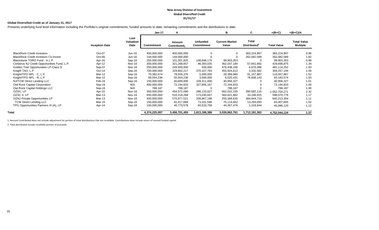#### **New Jersey Division of Investment Global Diversified Credit 01/31/17**

#### **Global Diversified Credit as of January 31, 2017**

Presents underlying fund level information including the Portfolio's original commitments, funded amounts to date, remaining commitments and the distributions to date.

|                                             |                       |                                  | <b>Jan-17</b>     | A                                  |                                      | в                              | C                                        | $=(B+C)$           | $=(B+C)/A$                            |
|---------------------------------------------|-----------------------|----------------------------------|-------------------|------------------------------------|--------------------------------------|--------------------------------|------------------------------------------|--------------------|---------------------------------------|
|                                             | <b>Inception Date</b> | Last<br><b>Valuation</b><br>Date | <b>Commitment</b> | Amount<br>Contributed <sub>1</sub> | <b>Unfunded</b><br><b>Commitment</b> | <b>Current Market</b><br>Value | <b>Total</b><br>Distributed <sup>2</sup> | <b>Total Value</b> | <b>Total Value</b><br><b>Multiple</b> |
| <b>BlackRock Credit Investors</b>           | Oct-07                | Jun-16                           | 400,000,000       | 400,000,000                        | $\Omega$                             |                                | 383,224,897                              | 383,224,897        | 0.96                                  |
| <b>BlackRock Credit Investors Co-Invest</b> | Oct-09                | Jun-16                           | 144,000,000       | 144,000,000                        |                                      |                                | 262,082,589                              | 262,082,589        | 1.82                                  |
| Blackstone TORO Fund - A L.P.               | Apr-16                | Sep-16                           | 250,000,000       | 101,301,825                        | 148,698,175                          | 99,903,353                     |                                          | 99,903,353         | 0.99                                  |
| Cerberus NJ Credit Opportunities Fund, L.P. | Apr-12                | Nov-16                           | 300,000,000       | 321,268,657                        | 46,393,035                           | 362,037,184                    | 67,661,692                               | 429,698,875        | 1.34                                  |
| Golden Tree Opportunities LP-Class D        | Sep-07                | Nov-16                           | 250,000,000       | 249,500,000                        | 500,000                              | 476,438,166                    | 4,676,086                                | 481,114,252        | 1.93                                  |
| Knight TAO, L.P.                            | $Oct-14$              | Sep-16                           | 700,000,000       | 329,892,217                        | 370,107,783                          | 355,924,612                    | 3,332,582                                | 359,257,194        | 1.09                                  |
| Knight/TPG NPL - C, L.P.                    | Mar-12                | Sep-16                           | 70,382,674        | 78,556,376                         | 5,000,000                            | 28,399,980                     | 91,157,887                               | 119,557,867        | 1.52                                  |
| Knight/TPG NPL - R, L.P.                    | Mar-12                | Sep-16                           | 59,054,236        | 55,554,236                         | 3,500,000                            | 6,525,431                      | 76,658,143                               | 83,183,574         | 1.50                                  |
| NJ/TCW Direct Lending LLC                   | Feb-16                | Sep-16                           | 150,000,000       | 40,689,000                         | 109,311,000                          | 40,956,327                     |                                          | 40,956,327         | 1.01                                  |
| Owl Rock Capital Corporation                | Sep-16                | N/A                              | 400,000,000       | 72,194,833                         | 327,805,167                          | 72,194,833                     |                                          | 72,194,833         | 1.00                                  |
| Owl Rock Capital Holdings LLC               | Sep-16                | N/A                              | 788,187           | 788,187                            | $\Omega$                             | 788,187                        |                                          | 788,187            | 1.00                                  |
| OZSC, LP                                    | Apr-10                | Nov-16                           | 350,000,000       | 454,572,090                        | 286,110,027                          | 662,022,155                    | 390,682,116                              | 1,052,704,271      | 2.32                                  |
| OZSC II, LP                                 | Mar-13                | Nov-16                           | 650,000,000       | 510,218,268                        | 173,030,647                          | 564,821,862                    | 33,248,915                               | 598,070,776        | 1.17                                  |
| OZNJ Private Opportunities LP               | Mar-13                | Nov-16                           | 400,000,000       | 575,977,521                        | 208,867,198                          | 255,368,635                    | 384,844,719                              | 640,213,354        | 1.11                                  |
| <b>TCW Direct Lending LLC</b>               | Mar-15                | Sep-16                           | 150,000,000       | 81,417,668                         | 73,331,596                           | 70,114,562                     | 13,293,093                               | 83,407,655         | 1.02                                  |
| TPG Opportunities Partners III (A), LP      | Apr-14                | Sep-16                           | 100,000,000       | 40,770,578                         | 60,533,758                           | 44,367,476                     | 1,318,644                                | 45,686,120         | 1.12                                  |
| Total                                       |                       |                                  | 4,374,225,097     | 3,456,701,455                      | 1,813,188,386                        | 3.039.862.761                  | 1,712,181,363                            | 4,752,044,124      | 1.37                                  |

1. Amount Contributed does not include adjustment for portion of total distributions that are recallable. Contributions does include return of unused funded capital.

2. Total distributed include recallable portion of proceeds.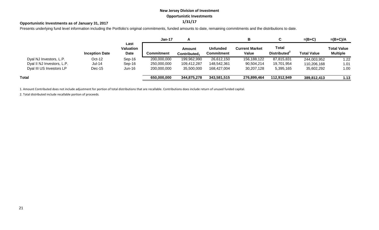# **New Jersey Division of Investment Opportunistic Investments**

# **1/31/17 Opportunistic Investments as of January 31, 2017**

Presents underlying fund level information including the Portfolio's original commitments, funded amounts to date, remaining commitments and the distributions to date.

|                            |                       |                           | <b>Jan-17</b> | <u>гч</u>                          |                                      | в                              |                                          | $=(B+C)$           | $=(B+C)/A$                            |
|----------------------------|-----------------------|---------------------------|---------------|------------------------------------|--------------------------------------|--------------------------------|------------------------------------------|--------------------|---------------------------------------|
|                            | <b>Inception Date</b> | Last<br>Valuation<br>Date | Commitment    | Amount<br>Contributed <sub>1</sub> | <b>Unfunded</b><br><b>Commitment</b> | <b>Current Market</b><br>Value | <b>Total</b><br>Distributed <sup>2</sup> | <b>Total Value</b> | <b>Total Value</b><br><b>Multiple</b> |
| Dyal NJ Investors, L.P.    | $Oct-12$              | Sep-16                    | 200,000,000   | 199,962,990                        | 26,612,150                           | 156,188,122                    | 87,815,831                               | 244,003,952        | 1.22                                  |
| Dyal II NJ Investors, L.P. | <b>Jul-14</b>         | Sep-16                    | 250,000,000   | 109,412,287                        | 148,542,361                          | 90,504,214                     | 19,701,954                               | 110,206,168        | 1.01                                  |
| Dyal III US Investors LP   | $Dec-15$              | $Jun-16$                  | 200,000,000   | 35,500,000                         | 168,427,004                          | 30,207,128                     | 5,395,165                                | 35,602,292         | 1.00                                  |
| Total                      |                       |                           | 650,000,000   | 344,875,278                        | 343,581,515                          | 276,899,464                    | 112,912,949                              | 389,812,413        | 1.13                                  |

1. Amount Contributed does not include adjustment for portion of total distributions that are recallable. Contributions does include return of unused funded capital.

2. Total distributed include recallable portion of proceeds.